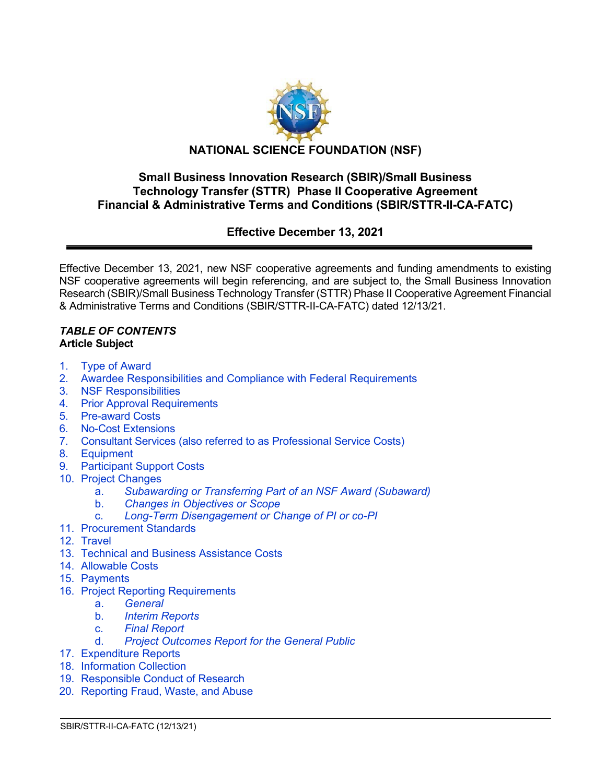

# **Small Business Innovation Research (SBIR)/Small Business Technology Transfer (STTR) Phase II Cooperative Agreement Financial & Administrative Terms and Conditions (SBIR/STTR-II-CA-FATC)**

# **Effective December 13, 2021**

Effective December 13, 2021, new NSF cooperative agreements and funding amendments to existing NSF cooperative agreements will begin referencing, and are subject to, the Small Business Innovation Research (SBIR)/Small Business Technology Transfer (STTR) Phase II Cooperative Agreement Financial & Administrative Terms and Conditions (SBIR/STTR-II-CA-FATC) dated 12/13/21.

### *TABLE OF CONTENTS* **Article Subject**

- 1. [Type of Award](#page-1-0)
- 2. [Awardee Responsibilities and Compliance with Federal Requirements](#page-2-0)
- 3. [NSF Responsibilities](#page-3-0)
- 4. [Prior Approval Requirements](#page-3-1)
- 5. [Pre-award](#page-5-0) Costs
- 6. [No-Cost Extensions](#page-5-1)
- 7. Consultant Services (also referred to as [Professional Service](#page-5-2) Costs)
- 8. [Equipment](#page-5-3)
- [9. Participant Support Costs](#page-7-0)
- 10. [Project Changes](#page-7-1)
	- a. *[Subawarding or Transferring Part of an NSF Award \(Subaward\)](#page-7-2)*
	- b. *[Changes in Objectives or Scope](#page-8-0)*
	- c. *[Long-Term Disengagement or Change of PI or co-PI](#page-8-1)*
- 11. [Procurement Standards](#page-8-2)
- 12. [Travel](#page-8-3)

- 13. [Technical and Business Assistance Costs](#page-9-0)
- 14. [Allowable Costs](#page-9-1)
- 15. [Payments](#page-10-0)
- 16. [Project Reporting Requirements](#page-11-0)
	- a. *[General](#page-11-1)*
	- b. *[Interim Reports](#page-11-2)*
	- c. *[Final Report](#page-12-0)*
	- **[Project Outcomes Report for the General Public](#page-12-1)**
- 17. [Expenditure Reports](#page-12-2)
- 18. [Information Collection](#page-12-3)
- 19. [Responsible](#page-13-0) Conduct of Research
- 20. [Reporting Fraud, Waste, and Abuse](#page-13-1)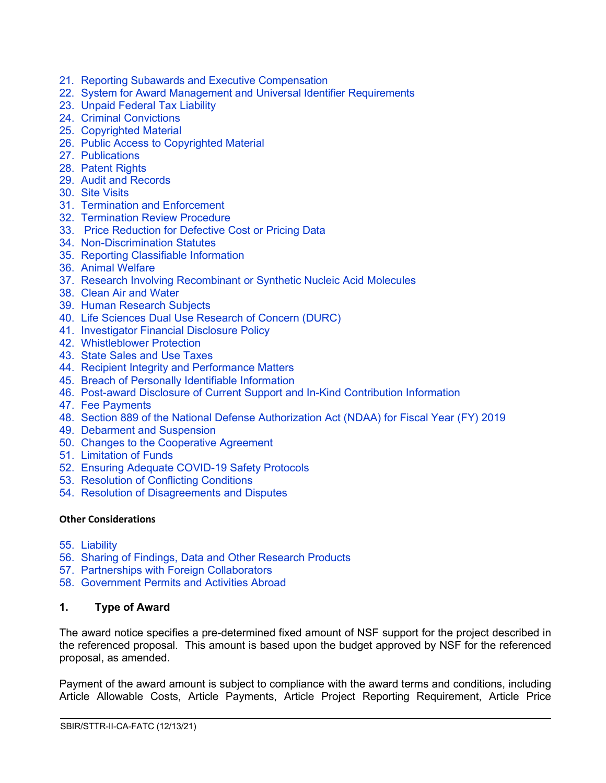- 21. Reporting Subawards and Executive [Compensation](#page-14-0)
- 22. [System for Award Management and](#page-17-0) Universal Identifier Requirements
- 23. [Unpaid Federal Tax Liability](#page-18-0)
- 24. [Criminal Convictions](#page-18-1)
- 25. [Copyrighted Material](#page-18-2)
- 26. [Public Access to Copyrighted Material](#page-19-0)
- 27. [Publications](#page-20-0)
- 28. [Patent Rights](#page-20-1)
- 29. [Audit and Records](#page-26-0)
- 30. [Site Visits](#page-26-1)
- 31. [Termination and Enforcement](#page-26-2)
- 32. [Termination Review Procedure](#page-27-0)
- 33. [Price Reduction for Defective Cost or Pricing Data](#page-28-0)
- 34. [Non-Discrimination Statutes](#page-29-0)
- 35. [Reporting Classifiable Information](#page-29-1)
- 36. [Animal Welfare](#page-29-2)
- 37. [Research Involving Recombinant or Synthetic Nucleic Acid Molecules](#page-30-0)
- 38. [Clean Air and Water](#page-30-1)
- 39. [Human Research Subjects](#page-30-2)
- 40. [Life Sciences Dual Use Research of Concern \(DURC\)](#page-31-0)
- 41. [Investigator Financial Disclosure Policy](#page-31-1)
- 42. [Whistleblower Protection](#page-31-2)
- 43. [State Sales and Use Taxes](#page-31-3)
- 44. [Recipient Integrity and Performance Matters](#page-31-4)
- 45. [Breach of Personally Identifiable Information](#page-31-5)
- 46. [Post-award Disclosure of Current Support and In-Kind Contribution Information](#page-31-6)
- 47. [Fee Payments](#page-33-0)
- 48. [Section 889 of the National Defense Authorization Act \(NDAA\) for Fiscal Year \(FY\) 2019](#page-33-1)
- 49. [Debarment and Suspension](#page-34-0)
- 50. [Changes to the Cooperative Agreement](#page-34-1)
- 51. [Limitation of Funds](#page-34-2)
- 52. [Ensuring Adequate COVID-19 Safety Protocols](#page-34-3)
- 53. [Resolution of Conflicting Conditions](#page-35-0)
- 54. [Resolution of Disagreements and Disputes](#page-35-1)

#### **Other Considerations**

- 55. [Liability](#page-36-0)
- 56. [Sharing of Findings, Data and Other Research Products](#page-36-1)
- 57. [Partnerships with Foreign Collaborators](#page-36-2)
- 58. [Government Permits and Activities Abroad](#page-36-3)

#### <span id="page-1-0"></span>**1. Type of Award**

The award notice specifies a pre-determined fixed amount of NSF support for the project described in the referenced proposal. This amount is based upon the budget approved by NSF for the referenced proposal, as amended.

Payment of the award amount is subject to compliance with the award terms and conditions, including Article Allowable Costs, Article Payments, Article Project Reporting Requirement, Article Price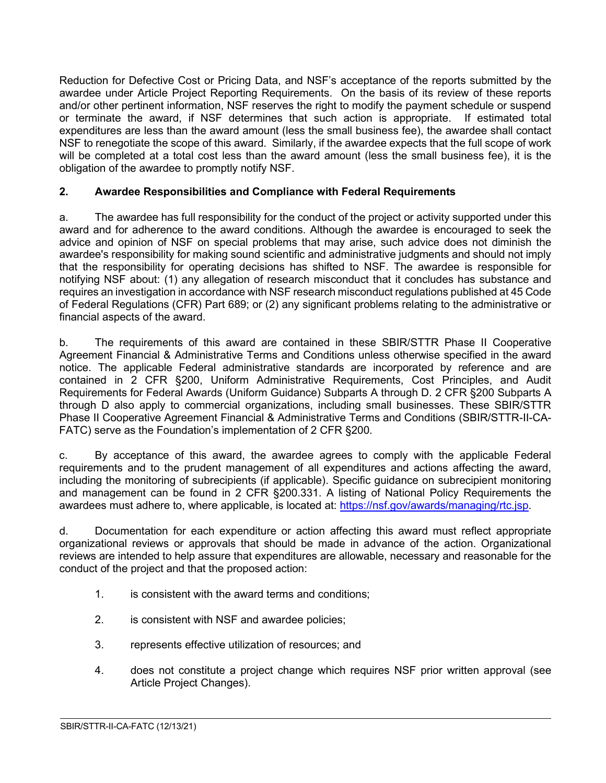Reduction for Defective Cost or Pricing Data, and NSF's acceptance of the reports submitted by the awardee under Article Project Reporting Requirements. On the basis of its review of these reports and/or other pertinent information, NSF reserves the right to modify the payment schedule or suspend or terminate the award, if NSF determines that such action is appropriate. If estimated total expenditures are less than the award amount (less the small business fee), the awardee shall contact NSF to renegotiate the scope of this award. Similarly, if the awardee expects that the full scope of work will be completed at a total cost less than the award amount (less the small business fee), it is the obligation of the awardee to promptly notify NSF.

# <span id="page-2-0"></span>**2. Awardee Responsibilities and Compliance with Federal Requirements**

a. The awardee has full responsibility for the conduct of the project or activity supported under this award and for adherence to the award conditions. Although the awardee is encouraged to seek the advice and opinion of NSF on special problems that may arise, such advice does not diminish the awardee's responsibility for making sound scientific and administrative judgments and should not imply that the responsibility for operating decisions has shifted to NSF. The awardee is responsible for notifying NSF about: (1) any allegation of research misconduct that it concludes has substance and requires an investigation in accordance with NSF research misconduct regulations published at 45 Code of Federal Regulations (CFR) Part 689; or (2) any significant problems relating to the administrative or financial aspects of the award.

b. The requirements of this award are contained in these SBIR/STTR Phase II Cooperative Agreement Financial & Administrative Terms and Conditions unless otherwise specified in the award notice. The applicable Federal administrative standards are incorporated by reference and are contained in 2 CFR §200, Uniform Administrative Requirements, Cost Principles, and Audit Requirements for Federal Awards (Uniform Guidance) Subparts A through D. 2 CFR §200 Subparts A through D also apply to commercial organizations, including small businesses. These SBIR/STTR Phase II Cooperative Agreement Financial & Administrative Terms and Conditions (SBIR/STTR-II-CA-FATC) serve as the Foundation's implementation of 2 CFR §200.

c. By acceptance of this award, the awardee agrees to comply with the applicable Federal requirements and to the prudent management of all expenditures and actions affecting the award, including the monitoring of subrecipients (if applicable). Specific guidance on subrecipient monitoring and management can be found in 2 CFR §200.331. A listing of National Policy Requirements the awardees must adhere to, where applicable, is located at: [https://nsf.gov/awards/managing/rtc.jsp.](https://nsf.gov/awards/managing/rtc.jsp)

d. Documentation for each expenditure or action affecting this award must reflect appropriate organizational reviews or approvals that should be made in advance of the action. Organizational reviews are intended to help assure that expenditures are allowable, necessary and reasonable for the conduct of the project and that the proposed action:

- 1. is consistent with the award terms and conditions;
- 2. is consistent with NSF and awardee policies;
- 3. represents effective utilization of resources; and
- 4. does not constitute a project change which requires NSF prior written approval (see Article Project Changes).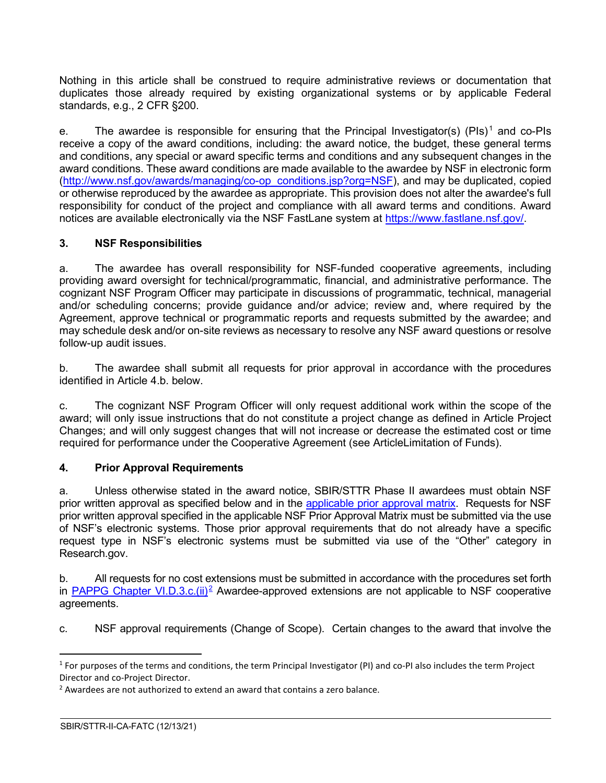Nothing in this article shall be construed to require administrative reviews or documentation that duplicates those already required by existing organizational systems or by applicable Federal standards, e.g., 2 CFR §200.

e. The awardee is responsible for ensuring that the Principal Investigator(s) (PIs)<sup>[1](#page-3-2)</sup> and co-PIs receive a copy of the award conditions, including: the award notice, the budget, these general terms and conditions, any special or award specific terms and conditions and any subsequent changes in the award conditions. These award conditions are made available to the awardee by NSF in electronic form [\(http://www.nsf.gov/awards/managing/co-op\\_conditions.jsp?org=NSF\)](http://www.nsf.gov/awards/managing/co-op_conditions.jsp?org=NSF), and may be duplicated, copied or otherwise reproduced by the awardee as appropriate. This provision does not alter the awardee's full responsibility for conduct of the project and compliance with all award terms and conditions. Award notices are available electronically via the NSF FastLane system at [https://www.fastlane.nsf.gov/.](https://www.fastlane.nsf.gov/)

# <span id="page-3-0"></span>**3. NSF Responsibilities**

a. The awardee has overall responsibility for NSF-funded cooperative agreements, including providing award oversight for technical/programmatic, financial, and administrative performance. The cognizant NSF Program Officer may participate in discussions of programmatic, technical, managerial and/or scheduling concerns; provide guidance and/or advice; review and, where required by the Agreement, approve technical or programmatic reports and requests submitted by the awardee; and may schedule desk and/or on-site reviews as necessary to resolve any NSF award questions or resolve follow-up audit issues.

b. The awardee shall submit all requests for prior approval in accordance with the procedures identified in Article 4.b. below.

c. The cognizant NSF Program Officer will only request additional work within the scope of the award; will only issue instructions that do not constitute a project change as defined in Article Project Changes; and will only suggest changes that will not increase or decrease the estimated cost or time required for performance under the Cooperative Agreement (see ArticleLimitation of Funds).

# <span id="page-3-1"></span>**4. Prior Approval Requirements**

a. Unless otherwise stated in the award notice, SBIR/STTR Phase II awardees must obtain NSF prior written approval as specified below and in the [applicable prior approval matrix.](https://www.nsf.gov/bfa/dias/policy/priorapprovals/march18.pdf) Requests for NSF prior written approval specified in the applicable NSF Prior Approval Matrix must be submitted via the use of NSF's electronic systems. Those prior approval requirements that do not already have a specific request type in NSF's electronic systems must be submitted via use of the "Other" category in Research.gov.

b. All requests for no cost extensions must be submitted in accordance with the procedures set forth in PAPPG Chapter VI.D.3.c. $(ii)^2$  Awardee-approved extensions are not applicable to NSF cooperative agreements.

c. NSF approval requirements (Change of Scope). Certain changes to the award that involve the

<span id="page-3-2"></span> $1$  For purposes of the terms and conditions, the term Principal Investigator (PI) and co-PI also includes the term Project Director and co-Project Director.

<span id="page-3-3"></span><sup>&</sup>lt;sup>2</sup> Awardees are not authorized to extend an award that contains a zero balance.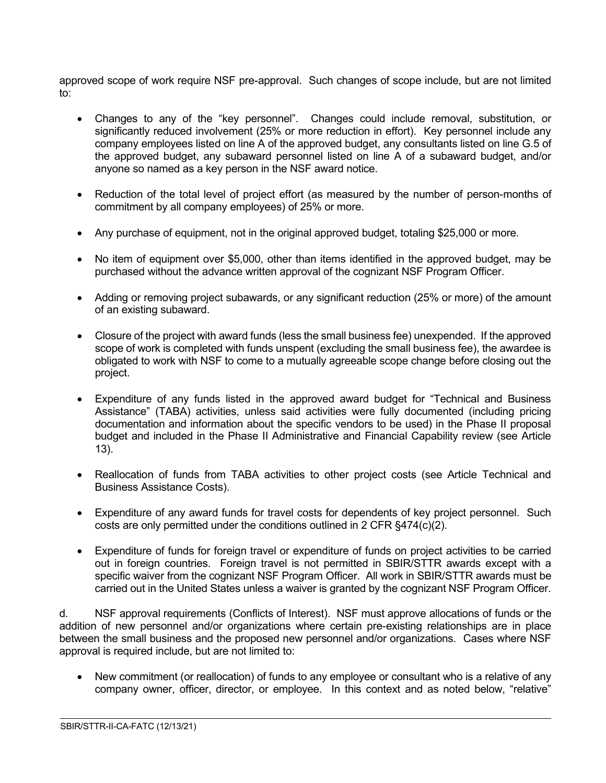approved scope of work require NSF pre-approval. Such changes of scope include, but are not limited to:

- Changes to any of the "key personnel". Changes could include removal, substitution, or significantly reduced involvement (25% or more reduction in effort). Key personnel include any company employees listed on line A of the approved budget, any consultants listed on line G.5 of the approved budget, any subaward personnel listed on line A of a subaward budget, and/or anyone so named as a key person in the NSF award notice.
- Reduction of the total level of project effort (as measured by the number of person-months of commitment by all company employees) of 25% or more.
- Any purchase of equipment, not in the original approved budget, totaling \$25,000 or more.
- No item of equipment over \$5,000, other than items identified in the approved budget, may be purchased without the advance written approval of the cognizant NSF Program Officer.
- Adding or removing project subawards, or any significant reduction (25% or more) of the amount of an existing subaward.
- Closure of the project with award funds (less the small business fee) unexpended. If the approved scope of work is completed with funds unspent (excluding the small business fee), the awardee is obligated to work with NSF to come to a mutually agreeable scope change before closing out the project.
- Expenditure of any funds listed in the approved award budget for "Technical and Business Assistance" (TABA) activities, unless said activities were fully documented (including pricing documentation and information about the specific vendors to be used) in the Phase II proposal budget and included in the Phase II Administrative and Financial Capability review (see Article 13).
- Reallocation of funds from TABA activities to other project costs (see Article Technical and Business Assistance Costs).
- Expenditure of any award funds for travel costs for dependents of key project personnel. Such costs are only permitted under the conditions outlined in 2 CFR §474(c)(2).
- Expenditure of funds for foreign travel or expenditure of funds on project activities to be carried out in foreign countries. Foreign travel is not permitted in SBIR/STTR awards except with a specific waiver from the cognizant NSF Program Officer. All work in SBIR/STTR awards must be carried out in the United States unless a waiver is granted by the cognizant NSF Program Officer.

d. NSF approval requirements (Conflicts of Interest). NSF must approve allocations of funds or the addition of new personnel and/or organizations where certain pre-existing relationships are in place between the small business and the proposed new personnel and/or organizations. Cases where NSF approval is required include, but are not limited to:

• New commitment (or reallocation) of funds to any employee or consultant who is a relative of any company owner, officer, director, or employee. In this context and as noted below, "relative"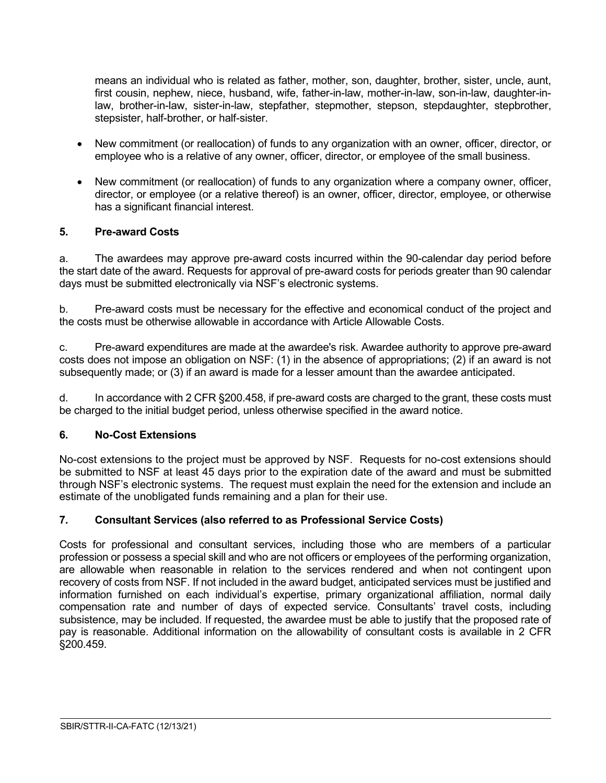means an individual who is related as father, mother, son, daughter, brother, sister, uncle, aunt, first cousin, nephew, niece, husband, wife, father-in-law, mother-in-law, son-in-law, daughter-inlaw, brother-in-law, sister-in-law, stepfather, stepmother, stepson, stepdaughter, stepbrother, stepsister, half-brother, or half-sister.

- New commitment (or reallocation) of funds to any organization with an owner, officer, director, or employee who is a relative of any owner, officer, director, or employee of the small business.
- New commitment (or reallocation) of funds to any organization where a company owner, officer, director, or employee (or a relative thereof) is an owner, officer, director, employee, or otherwise has a significant financial interest.

### <span id="page-5-0"></span>**5. Pre-award Costs**

a. The awardees may approve pre-award costs incurred within the 90-calendar day period before the start date of the award. Requests for approval of pre-award costs for periods greater than 90 calendar days must be submitted electronically via NSF's electronic systems.

b. Pre-award costs must be necessary for the effective and economical conduct of the project and the costs must be otherwise allowable in accordance with Article Allowable Costs.

c. Pre-award expenditures are made at the awardee's risk. Awardee authority to approve pre-award costs does not impose an obligation on NSF: (1) in the absence of appropriations; (2) if an award is not subsequently made; or (3) if an award is made for a lesser amount than the awardee anticipated.

d. In accordance with 2 CFR §200.458, if pre-award costs are charged to the grant, these costs must be charged to the initial budget period, unless otherwise specified in the award notice.

### <span id="page-5-1"></span>**6. No-Cost Extensions**

No-cost extensions to the project must be approved by NSF. Requests for no-cost extensions should be submitted to NSF at least 45 days prior to the expiration date of the award and must be submitted through NSF's electronic systems. The request must explain the need for the extension and include an estimate of the unobligated funds remaining and a plan for their use.

# <span id="page-5-2"></span>**7. Consultant Services (also referred to as Professional Service Costs)**

<span id="page-5-3"></span>Costs for professional and consultant services, including those who are members of a particular profession or possess a special skill and who are not officers or employees of the performing organization, are allowable when reasonable in relation to the services rendered and when not contingent upon recovery of costs from NSF. If not included in the award budget, anticipated services must be justified and information furnished on each individual's expertise, primary organizational affiliation, normal daily compensation rate and number of days of expected service. Consultants' travel costs, including subsistence, may be included. If requested, the awardee must be able to justify that the proposed rate of pay is reasonable. Additional information on the allowability of consultant costs is available in 2 CFR §200.459.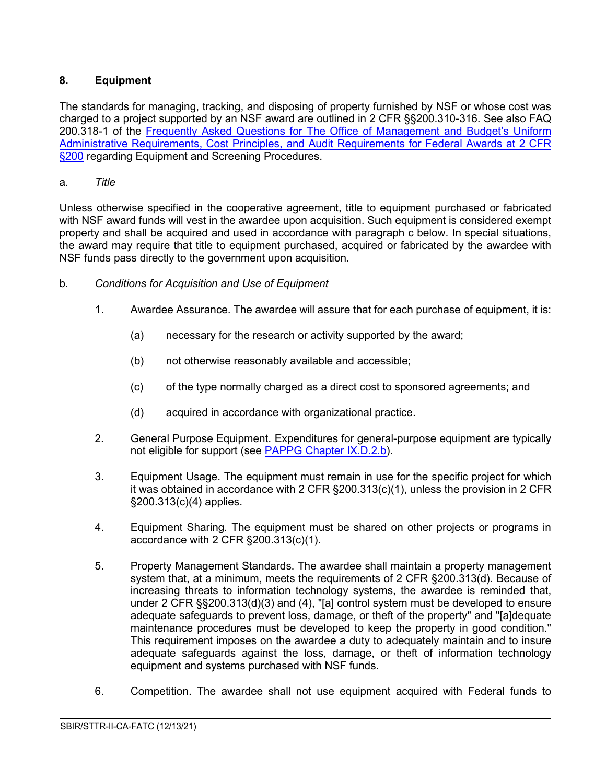# **8. Equipment**

The standards for managing, tracking, and disposing of property furnished by NSF or whose cost was charged to a project supported by an NSF award are outlined in 2 CFR §§200.310-316. See also FAQ 200.318-1 of the Frequently Asked Questions for The Office of Management and Budget's Uniform [Administrative Requirements, Cost Principles, and Audit Requirements for Federal Awards at 2 CFR](https://www.cfo.gov/assets/files/2CFR-FrequentlyAskedQuestions_2021050321.pdf)  [§200](https://www.cfo.gov/assets/files/2CFR-FrequentlyAskedQuestions_2021050321.pdf) regarding Equipment and Screening Procedures.

# a. *Title*

Unless otherwise specified in the cooperative agreement, title to equipment purchased or fabricated with NSF award funds will vest in the awardee upon acquisition. Such equipment is considered exempt property and shall be acquired and used in accordance with paragraph c below. In special situations, the award may require that title to equipment purchased, acquired or fabricated by the awardee with NSF funds pass directly to the government upon acquisition.

- b. *Conditions for Acquisition and Use of Equipment*
	- 1. Awardee Assurance. The awardee will assure that for each purchase of equipment, it is:
		- (a) necessary for the research or activity supported by the award;
		- (b) not otherwise reasonably available and accessible;
		- (c) of the type normally charged as a direct cost to sponsored agreements; and
		- (d) acquired in accordance with organizational practice.
	- 2. General Purpose Equipment. Expenditures for general-purpose equipment are typically not eligible for support (see [PAPPG Chapter IX.D.2.b\)](https://www.nsf.gov/pubs/policydocs/pappg22_1/pappg_9.jsp#IXD2).
	- 3. Equipment Usage. The equipment must remain in use for the specific project for which it was obtained in accordance with 2 CFR  $\S200.313(c)(1)$ , unless the provision in 2 CFR §200.313(c)(4) applies.
	- 4. Equipment Sharing. The equipment must be shared on other projects or programs in accordance with 2 CFR §200.313(c)(1).
	- 5. Property Management Standards. The awardee shall maintain a property management system that, at a minimum, meets the requirements of 2 CFR §200.313(d). Because of increasing threats to information technology systems, the awardee is reminded that, under 2 CFR §§200.313(d)(3) and (4), "[a] control system must be developed to ensure adequate safeguards to prevent loss, damage, or theft of the property" and "[a]dequate maintenance procedures must be developed to keep the property in good condition." This requirement imposes on the awardee a duty to adequately maintain and to insure adequate safeguards against the loss, damage, or theft of information technology equipment and systems purchased with NSF funds.
	- 6. Competition. The awardee shall not use equipment acquired with Federal funds to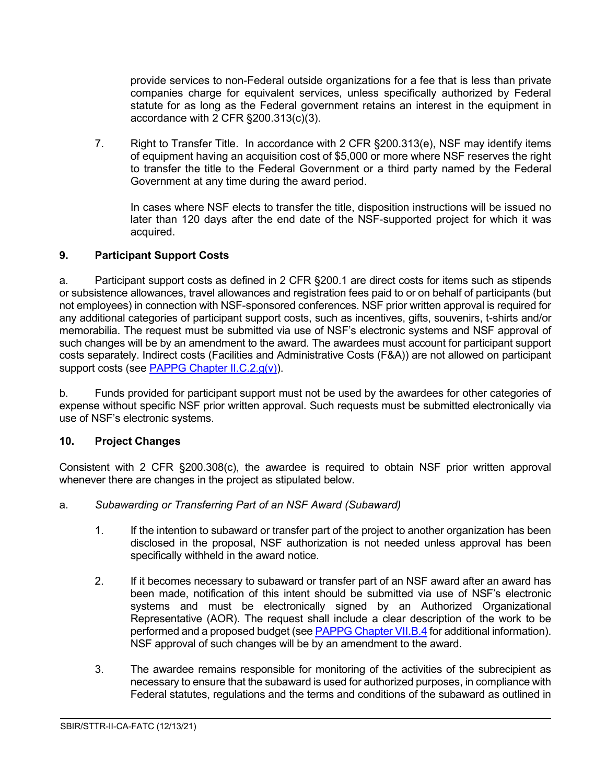provide services to non-Federal outside organizations for a fee that is less than private companies charge for equivalent services, unless specifically authorized by Federal statute for as long as the Federal government retains an interest in the equipment in accordance with 2 CFR §200.313(c)(3).

7. Right to Transfer Title. In accordance with 2 CFR §200.313(e), NSF may identify items of equipment having an acquisition cost of \$5,000 or more where NSF reserves the right to transfer the title to the Federal Government or a third party named by the Federal Government at any time during the award period.

In cases where NSF elects to transfer the title, disposition instructions will be issued no later than 120 days after the end date of the NSF-supported project for which it was acquired.

# <span id="page-7-0"></span>**9. Participant Support Costs**

a. Participant support costs as defined in 2 CFR §200.1 are direct costs for items such as stipends or subsistence allowances, travel allowances and registration fees paid to or on behalf of participants (but not employees) in connection with NSF-sponsored conferences. NSF prior written approval is required for any additional categories of participant support costs, such as incentives, gifts, souvenirs, t-shirts and/or memorabilia. The request must be submitted via use of NSF's electronic systems and NSF approval of such changes will be by an amendment to the award. The awardees must account for participant support costs separately. Indirect costs (Facilities and Administrative Costs (F&A)) are not allowed on participant support costs (see [PAPPG Chapter II.C.2.g\(v\)\)](https://www.nsf.gov/pubs/policydocs/pappg22_1/pappg_2.jsp#IIC2gv).

b. Funds provided for participant support must not be used by the awardees for other categories of expense without specific NSF prior written approval. Such requests must be submitted electronically via use of NSF's electronic systems.

### <span id="page-7-1"></span>**10. Project Changes**

Consistent with 2 CFR §200.308(c), the awardee is required to obtain NSF prior written approval whenever there are changes in the project as stipulated below.

- <span id="page-7-2"></span>a. *Subawarding or Transferring Part of an NSF Award (Subaward)*
	- 1. If the intention to subaward or transfer part of the project to another organization has been disclosed in the proposal, NSF authorization is not needed unless approval has been specifically withheld in the award notice.
	- 2. If it becomes necessary to subaward or transfer part of an NSF award after an award has been made, notification of this intent should be submitted via use of NSF's electronic systems and must be electronically signed by an Authorized Organizational Representative (AOR). The request shall include a clear description of the work to be performed and a proposed budget (see [PAPPG Chapter VII.B.4](https://www.nsf.gov/pubs/policydocs/pappg22_1/pappg_7.jsp#VIIB4) for additional information). NSF approval of such changes will be by an amendment to the award.
	- 3. The awardee remains responsible for monitoring of the activities of the subrecipient as necessary to ensure that the subaward is used for authorized purposes, in compliance with Federal statutes, regulations and the terms and conditions of the subaward as outlined in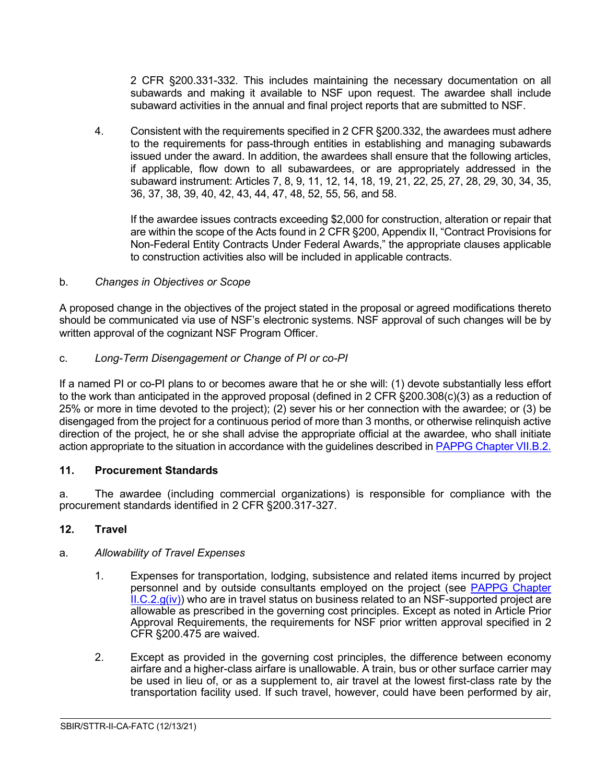2 CFR §200.331-332. This includes maintaining the necessary documentation on all subawards and making it available to NSF upon request. The awardee shall include subaward activities in the annual and final project reports that are submitted to NSF.

4. Consistent with the requirements specified in 2 CFR §200.332, the awardees must adhere to the requirements for pass-through entities in establishing and managing subawards issued under the award. In addition, the awardees shall ensure that the following articles, if applicable, flow down to all subawardees, or are appropriately addressed in the subaward instrument: Articles 7, 8, 9, 11, 12, 14, 18, 19, 21, 22, 25, 27, 28, 29, 30, 34, 35, 36, 37, 38, 39, 40, 42, 43, 44, 47, 48, 52, 55, 56, and 58.

If the awardee issues contracts exceeding \$2,000 for construction, alteration or repair that are within the scope of the Acts found in 2 CFR §200, Appendix II, "Contract Provisions for Non-Federal Entity Contracts Under Federal Awards," the appropriate clauses applicable to construction activities also will be included in applicable contracts.

# <span id="page-8-0"></span>b. *Changes in Objectives or Scope*

A proposed change in the objectives of the project stated in the proposal or agreed modifications thereto should be communicated via use of NSF's electronic systems. NSF approval of such changes will be by written approval of the cognizant NSF Program Officer.

<span id="page-8-1"></span>c. *Long-Term Disengagement or Change of PI or co-PI*

If a named PI or co-PI plans to or becomes aware that he or she will: (1) devote substantially less effort to the work than anticipated in the approved proposal (defined in 2 CFR §200.308(c)(3) as a reduction of 25% or more in time devoted to the project); (2) sever his or her connection with the awardee; or (3) be disengaged from the project for a continuous period of more than 3 months, or otherwise relinquish active direction of the project, he or she shall advise the appropriate official at the awardee, who shall initiate action appropriate to the situation in accordance with the guidelines described in [PAPPG Chapter VII.B.2.](https://www.nsf.gov/pubs/policydocs/pappg22_1/pappg_7.jsp#VIIB2)

### <span id="page-8-2"></span>**11. Procurement Standards**

a. The awardee (including commercial organizations) is responsible for compliance with the procurement standards identified in 2 CFR §200.317-327.

### <span id="page-8-3"></span>**12. Travel**

### a. *Allowability of Travel Expenses*

- 1. Expenses for transportation, lodging, subsistence and related items incurred by project personnel and by outside consultants employed on the project (see [PAPPG Chapter](https://www.nsf.gov/pubs/policydocs/pappg22_1/pappg_2.jsp#IIC2giv)   $ILC.2.g(iv)$  who are in travel status on business related to an NSF-supported project are allowable as prescribed in the governing cost principles. Except as noted in Article Prior Approval Requirements, the requirements for NSF prior written approval specified in 2 CFR §200.475 are waived.
- 2. Except as provided in the governing cost principles, the difference between economy airfare and a higher-class airfare is unallowable. A train, bus or other surface carrier may be used in lieu of, or as a supplement to, air travel at the lowest first-class rate by the transportation facility used. If such travel, however, could have been performed by air,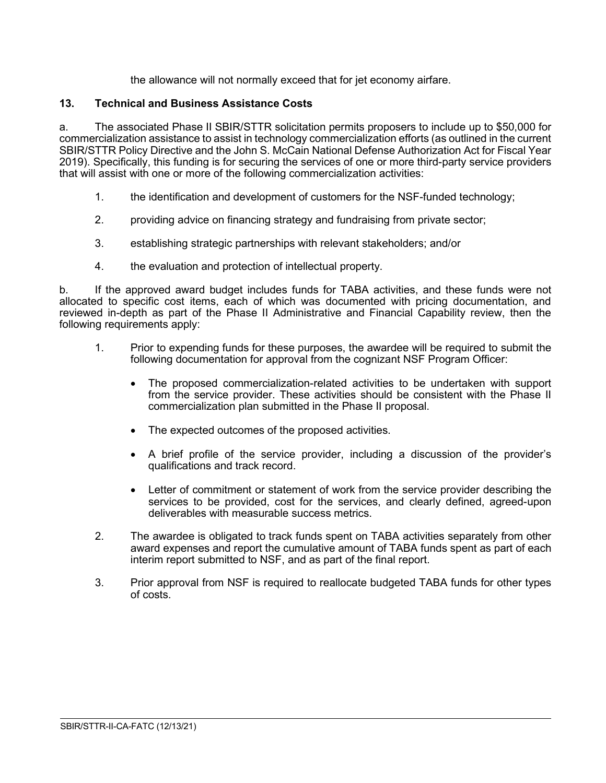the allowance will not normally exceed that for jet economy airfare.

### <span id="page-9-0"></span>**13. Technical and Business Assistance Costs**

a. The associated Phase II SBIR/STTR solicitation permits proposers to include up to \$50,000 for commercialization assistance to assist in technology commercialization efforts (as outlined in the current SBIR/STTR Policy Directive and the John S. McCain National Defense Authorization Act for Fiscal Year 2019). Specifically, this funding is for securing the services of one or more third-party service providers that will assist with one or more of the following commercialization activities:

- 1. the identification and development of customers for the NSF-funded technology;
- 2. providing advice on financing strategy and fundraising from private sector;
- 3. establishing strategic partnerships with relevant stakeholders; and/or
- 4. the evaluation and protection of intellectual property.

b. If the approved award budget includes funds for TABA activities, and these funds were not allocated to specific cost items, each of which was documented with pricing documentation, and reviewed in-depth as part of the Phase II Administrative and Financial Capability review, then the following requirements apply:

- 1. Prior to expending funds for these purposes, the awardee will be required to submit the following documentation for approval from the cognizant NSF Program Officer:
	- The proposed commercialization-related activities to be undertaken with support from the service provider. These activities should be consistent with the Phase II commercialization plan submitted in the Phase II proposal.
	- The expected outcomes of the proposed activities.
	- A brief profile of the service provider, including a discussion of the provider's qualifications and track record.
	- Letter of commitment or statement of work from the service provider describing the services to be provided, cost for the services, and clearly defined, agreed-upon deliverables with measurable success metrics.

- 2. The awardee is obligated to track funds spent on TABA activities separately from other award expenses and report the cumulative amount of TABA funds spent as part of each interim report submitted to NSF, and as part of the final report.
- <span id="page-9-1"></span>3. Prior approval from NSF is required to reallocate budgeted TABA funds for other types of costs.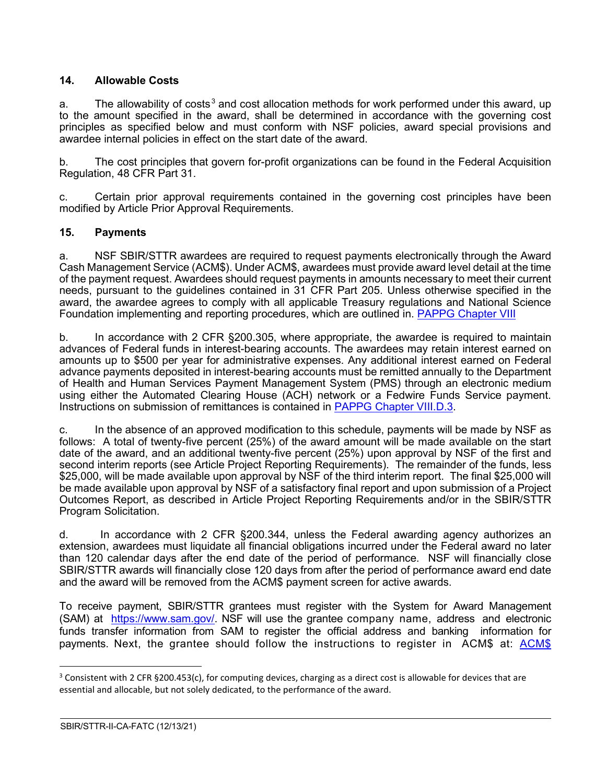# **14. Allowable Costs**

a. The allowability of costs<sup>[3](#page-10-1)</sup> and cost allocation methods for work performed under this award, up to the amount specified in the award, shall be determined in accordance with the governing cost principles as specified below and must conform with NSF policies, award special provisions and awardee internal policies in effect on the start date of the award.

b. The cost principles that govern for-profit organizations can be found in the Federal Acquisition Regulation, 48 CFR Part 31.

c. Certain prior approval requirements contained in the governing cost principles have been modified by Article Prior Approval Requirements.

# <span id="page-10-0"></span>**15. Payments**

a. NSF SBIR/STTR awardees are required to request payments electronically through the Award Cash Management Service (ACM\$). Under ACM\$, awardees must provide award level detail at the time of the payment request. Awardees should request payments in amounts necessary to meet their current needs, pursuant to the guidelines contained in 31 CFR Part 205. Unless otherwise specified in the award, the awardee agrees to comply with all applicable Treasury regulations and National Science Foundation implementing and reporting procedures, which are outlined in. [PAPPG Chapter VIII](https://www.nsf.gov/pubs/policydocs/pappg22_1/pappg_8.jsp)

b. In accordance with 2 CFR §200.305, where appropriate, the awardee is required to maintain advances of Federal funds in interest-bearing accounts. The awardees may retain interest earned on amounts up to \$500 per year for administrative expenses. Any additional interest earned on Federal advance payments deposited in interest-bearing accounts must be remitted annually to the Department of Health and Human Services Payment Management System (PMS) through an electronic medium using either the Automated Clearing House (ACH) network or a Fedwire Funds Service payment. Instructions on submission of remittances is contained in [PAPPG Chapter VIII.D.3.](https://www.nsf.gov/pubs/policydocs/pappg22_1/pappg_8.jsp#VIIID3)

c. In the absence of an approved modification to this schedule, payments will be made by NSF as follows: A total of twenty-five percent (25%) of the award amount will be made available on the start date of the award, and an additional twenty-five percent (25%) upon approval by NSF of the first and second interim reports (see Article Project Reporting Requirements). The remainder of the funds, less \$25,000, will be made available upon approval by NSF of the third interim report. The final \$25,000 will be made available upon approval by NSF of a satisfactory final report and upon submission of a Project Outcomes Report, as described in Article Project Reporting Requirements and/or in the SBIR/STTR Program Solicitation.

d. In accordance with 2 CFR §200.344, unless the Federal awarding agency authorizes an extension, awardees must liquidate all financial obligations incurred under the Federal award no later than 120 calendar days after the end date of the period of performance. NSF will financially close SBIR/STTR awards will financially close 120 days from after the period of performance award end date and the award will be removed from the ACM\$ payment screen for active awards.

To receive payment, SBIR/STTR grantees must register with the System for Award Management (SAM) at [https://www.sam.gov/.](https://www.sam.gov/) NSF will use the grantee company name, address and electronic funds transfer information from SAM to register the official address and banking information for payments. Next, the grantee should follow the instructions to register in ACM\$ at: [ACM\\$](https://www.research.gov/research-portal/appmanager/base/desktop?_nfpb=true&_pageLabel=research_node_display&_nodePath=/researchGov/Service/Desktop/InstitutionAndUserManagement.html)

<span id="page-10-1"></span> $3$  Consistent with 2 CFR §200.453(c), for computing devices, charging as a direct cost is allowable for devices that are essential and allocable, but not solely dedicated, to the performance of the award.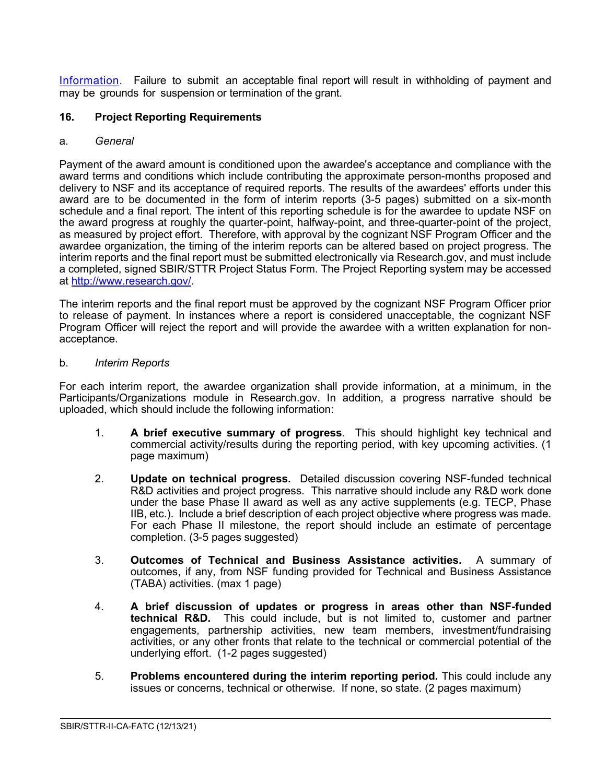[Information.](https://www.research.gov/research-portal/appmanager/base/desktop?_nfpb=true&_pageLabel=research_node_display&_nodePath=/researchGov/Service/Desktop/InstitutionAndUserManagement.html) Failure to submit an acceptable final report will result in withholding of payment and may be grounds for suspension or termination of the grant.

#### <span id="page-11-0"></span>**16. Project Reporting Requirements**

#### <span id="page-11-1"></span>a. *General*

Payment of the award amount is conditioned upon the awardee's acceptance and compliance with the award terms and conditions which include contributing the approximate person-months proposed and delivery to NSF and its acceptance of required reports. The results of the awardees' efforts under this award are to be documented in the form of interim reports (3-5 pages) submitted on a six-month schedule and a final report. The intent of this reporting schedule is for the awardee to update NSF on the award progress at roughly the quarter-point, halfway-point, and three-quarter-point of the project, as measured by project effort. Therefore, with approval by the cognizant NSF Program Officer and the awardee organization, the timing of the interim reports can be altered based on project progress. The interim reports and the final report must be submitted electronically via Research.gov, and must include a completed, signed SBIR/STTR Project Status Form. The Project Reporting system may be accessed at [http://www.research.gov/.](http://www.research.gov/)

The interim reports and the final report must be approved by the cognizant NSF Program Officer prior to release of payment. In instances where a report is considered unacceptable, the cognizant NSF Program Officer will reject the report and will provide the awardee with a written explanation for nonacceptance.

#### <span id="page-11-2"></span>b. *Interim Reports*

For each interim report, the awardee organization shall provide information, at a minimum, in the Participants/Organizations module in Research.gov. In addition, a progress narrative should be uploaded, which should include the following information:

- 1. **A brief executive summary of progress**. This should highlight key technical and commercial activity/results during the reporting period, with key upcoming activities. (1 page maximum)
- 2. **Update on technical progress.** Detailed discussion covering NSF-funded technical R&D activities and project progress. This narrative should include any R&D work done under the base Phase II award as well as any active supplements (e.g. TECP, Phase IIB, etc.). Include a brief description of each project objective where progress was made. For each Phase II milestone, the report should include an estimate of percentage completion. (3-5 pages suggested)
- 3. **Outcomes of Technical and Business Assistance activities.** A summary of outcomes, if any, from NSF funding provided for Technical and Business Assistance (TABA) activities. (max 1 page)
- 4. **A brief discussion of updates or progress in areas other than NSF-funded technical R&D.** This could include, but is not limited to, customer and partner engagements, partnership activities, new team members, investment/fundraising activities, or any other fronts that relate to the technical or commercial potential of the underlying effort. (1-2 pages suggested)
- 5. **Problems encountered during the interim reporting period.** This could include any issues or concerns, technical or otherwise. If none, so state. (2 pages maximum)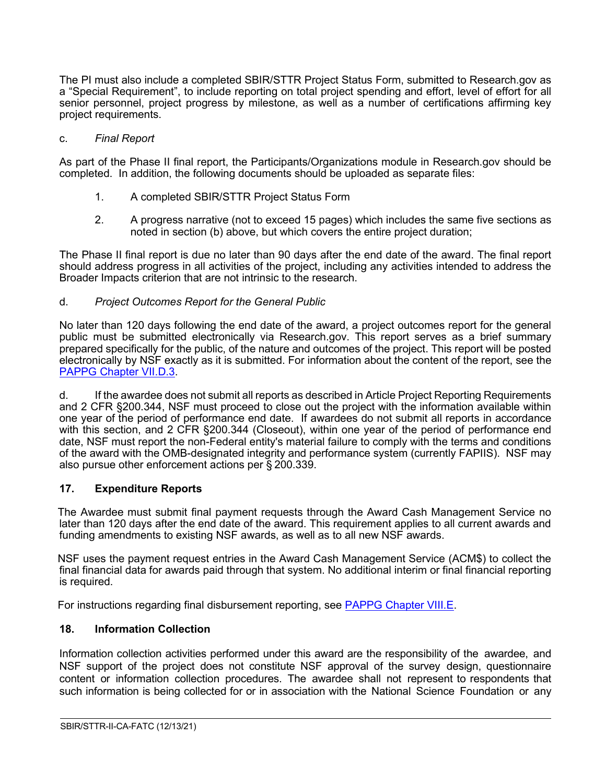The PI must also include a completed SBIR/STTR Project Status Form, submitted to Research.gov as a "Special Requirement", to include reporting on total project spending and effort, level of effort for all senior personnel, project progress by milestone, as well as a number of certifications affirming key project requirements.

#### <span id="page-12-0"></span>c. *Final Report*

As part of the Phase II final report, the Participants/Organizations module in Research.gov should be completed. In addition, the following documents should be uploaded as separate files:

- 1. A completed SBIR/STTR Project Status Form
- 2. A progress narrative (not to exceed 15 pages) which includes the same five sections as noted in section (b) above, but which covers the entire project duration;

The Phase II final report is due no later than 90 days after the end date of the award. The final report should address progress in all activities of the project, including any activities intended to address the Broader Impacts criterion that are not intrinsic to the research.

#### <span id="page-12-1"></span>d. *Project Outcomes Report for the General Public*

No later than 120 days following the end date of the award, a project outcomes report for the general public must be submitted electronically via Research.gov. This report serves as a brief summary prepared specifically for the public, of the nature and outcomes of the project. This report will be posted electronically by NSF exactly as it is submitted. For information about the content of the report, see the [PAPPG Chapter VII.D.3.](https://www.nsf.gov/pubs/policydocs/pappg22_1/pappg_7.jsp#VIID3)

d. If the awardee does not submit all reports as described in Article Project Reporting Requirements and 2 CFR §200.344, NSF must proceed to close out the project with the information available within one year of the period of performance end date. If awardees do not submit all reports in accordance with this section, and 2 CFR §200.344 (Closeout), within one year of the period of performance end date, NSF must report the non-Federal entity's material failure to comply with the terms and conditions of the award with the OMB-designated integrity and performance system (currently FAPIIS). NSF may also pursue other enforcement actions per § 200.339.

### <span id="page-12-2"></span>**17. Expenditure Reports**

The Awardee must submit final payment requests through the Award Cash Management Service no later than 120 days after the end date of the award. This requirement applies to all current awards and funding amendments to existing NSF awards, as well as to all new NSF awards.

NSF uses the payment request entries in the Award Cash Management Service (ACM\$) to collect the final financial data for awards paid through that system. No additional interim or final financial reporting is required.

For instructions regarding final disbursement reporting, see [PAPPG Chapter VIII.E.](https://nsf.gov/pubs/policydocs/pappg22_1/pappg_8.jsp#VIIIE)

### <span id="page-12-3"></span>**18. Information Collection**

Information collection activities performed under this award are the responsibility of the awardee, and NSF support of the project does not constitute NSF approval of the survey design, questionnaire content or information collection procedures. The awardee shall not represent to respondents that such information is being collected for or in association with the National Science Foundation or any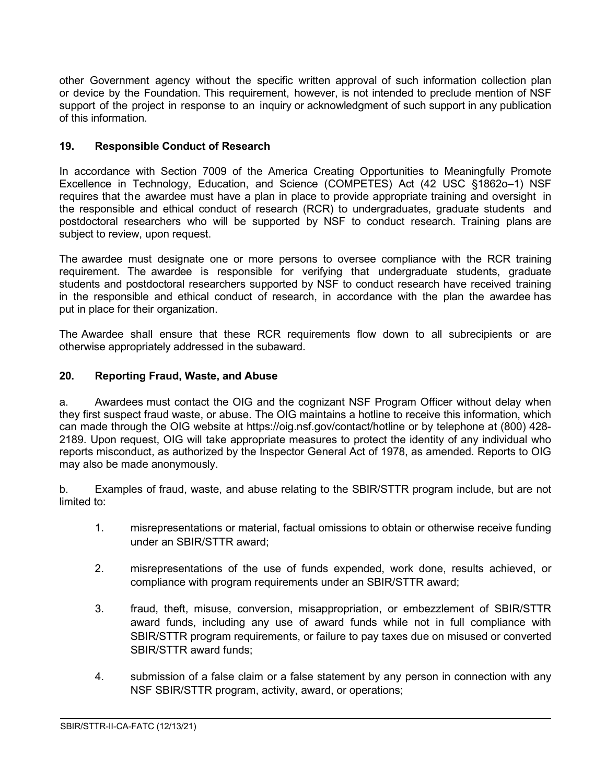other Government agency without the specific written approval of such information collection plan or device by the Foundation. This requirement, however, is not intended to preclude mention of NSF support of the project in response to an inquiry or acknowledgment of such support in any publication of this information.

# <span id="page-13-0"></span>**19. Responsible Conduct of Research**

In accordance with Section 7009 of the America Creating Opportunities to Meaningfully Promote Excellence in Technology, Education, and Science (COMPETES) Act (42 USC §1862o–1) NSF requires that the awardee must have a plan in place to provide appropriate training and oversight in the responsible and ethical conduct of research (RCR) to undergraduates, graduate students and postdoctoral researchers who will be supported by NSF to conduct research. Training plans are subject to review, upon request.

The awardee must designate one or more persons to oversee compliance with the RCR training requirement. The awardee is responsible for verifying that undergraduate students, graduate students and postdoctoral researchers supported by NSF to conduct research have received training in the responsible and ethical conduct of research, in accordance with the plan the awardee has put in place for their organization.

The Awardee shall ensure that these RCR requirements flow down to all subrecipients or are otherwise appropriately addressed in the subaward.

# <span id="page-13-1"></span>**20. Reporting Fraud, Waste, and Abuse**

a. Awardees must contact the OIG and the cognizant NSF Program Officer without delay when they first suspect fraud waste, or abuse. The OIG maintains a hotline to receive this information, which can made through the OIG website at https://oig.nsf.gov/contact/hotline or by telephone at (800) 428- 2189. Upon request, OIG will take appropriate measures to protect the identity of any individual who reports misconduct, as authorized by the Inspector General Act of 1978, as amended. Reports to OIG may also be made anonymously.

b. Examples of fraud, waste, and abuse relating to the SBIR/STTR program include, but are not limited to:

- 1. misrepresentations or material, factual omissions to obtain or otherwise receive funding under an SBIR/STTR award;
- 2. misrepresentations of the use of funds expended, work done, results achieved, or compliance with program requirements under an SBIR/STTR award;
- 3. fraud, theft, misuse, conversion, misappropriation, or embezzlement of SBIR/STTR award funds, including any use of award funds while not in full compliance with SBIR/STTR program requirements, or failure to pay taxes due on misused or converted SBIR/STTR award funds;
- 4. submission of a false claim or a false statement by any person in connection with any NSF SBIR/STTR program, activity, award, or operations;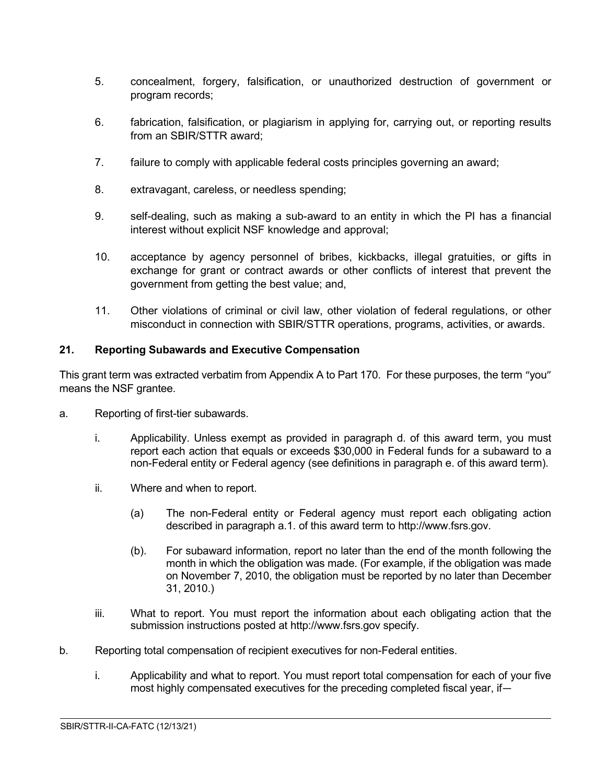- 5. concealment, forgery, falsification, or unauthorized destruction of government or program records;
- 6. fabrication, falsification, or plagiarism in applying for, carrying out, or reporting results from an SBIR/STTR award;
- 7. failure to comply with applicable federal costs principles governing an award;
- 8. extravagant, careless, or needless spending;
- 9. self-dealing, such as making a sub-award to an entity in which the PI has a financial interest without explicit NSF knowledge and approval;
- 10. acceptance by agency personnel of bribes, kickbacks, illegal gratuities, or gifts in exchange for grant or contract awards or other conflicts of interest that prevent the government from getting the best value; and,
- 11. Other violations of criminal or civil law, other violation of federal regulations, or other misconduct in connection with SBIR/STTR operations, programs, activities, or awards.

# <span id="page-14-0"></span>**21. Reporting Subawards and Executive Compensation**

This grant term was extracted verbatim from Appendix A to Part 170. For these purposes, the term "you" means the NSF grantee.

- a. Reporting of first-tier subawards.
	- i. Applicability. Unless exempt as provided in paragraph d. of this award term, you must report each action that equals or exceeds \$30,000 in Federal funds for a subaward to a non-Federal entity or Federal agency (see definitions in paragraph e. of this award term).
	- ii. Where and when to report.
		- (a) The non-Federal entity or Federal agency must report each obligating action described in paragraph a.1. of this award term to http://www.fsrs.gov.
		- (b). For subaward information, report no later than the end of the month following the month in which the obligation was made. (For example, if the obligation was made on November 7, 2010, the obligation must be reported by no later than December 31, 2010.)
	- iii. What to report. You must report the information about each obligating action that the submission instructions posted at http://www.fsrs.gov specify.
- b. Reporting total compensation of recipient executives for non-Federal entities.
	- i. Applicability and what to report. You must report total compensation for each of your five most highly compensated executives for the preceding completed fiscal year, if—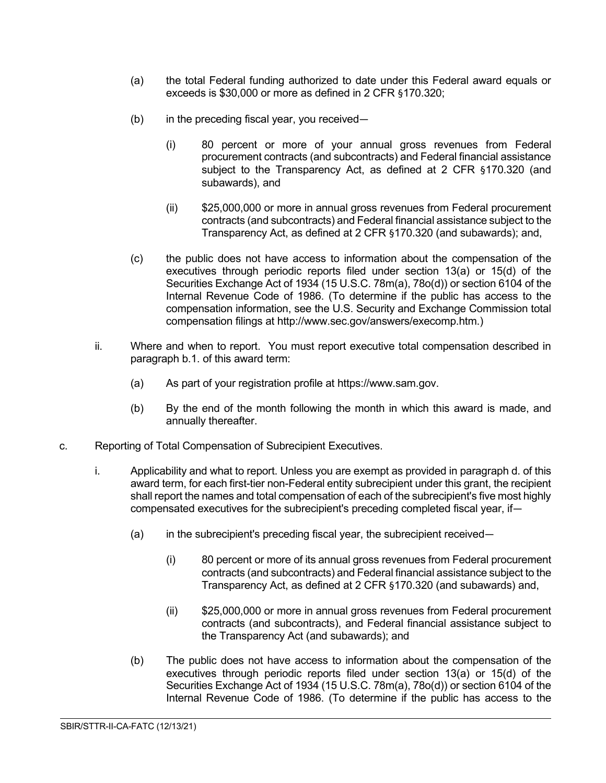- (a) the total Federal funding authorized to date under this Federal award equals or exceeds is \$30,000 or more as defined in 2 CFR §170.320;
- (b) in the preceding fiscal year, you received—
	- (i) 80 percent or more of your annual gross revenues from Federal procurement contracts (and subcontracts) and Federal financial assistance subject to the Transparency Act, as defined at 2 CFR §170.320 (and subawards), and
	- (ii) \$25,000,000 or more in annual gross revenues from Federal procurement contracts (and subcontracts) and Federal financial assistance subject to the Transparency Act, as defined at 2 CFR §170.320 (and subawards); and,
- (c) the public does not have access to information about the compensation of the executives through periodic reports filed under section 13(a) or 15(d) of the Securities Exchange Act of 1934 (15 U.S.C. 78m(a), 78o(d)) or section 6104 of the Internal Revenue Code of 1986. (To determine if the public has access to the compensation information, see the U.S. Security and Exchange Commission total compensation filings at http://www.sec.gov/answers/execomp.htm.)
- ii. Where and when to report. You must report executive total compensation described in paragraph b.1. of this award term:
	- (a) As part of your registration profile at https://www.sam.gov.
	- (b) By the end of the month following the month in which this award is made, and annually thereafter.
- c. Reporting of Total Compensation of Subrecipient Executives.
	- i. Applicability and what to report. Unless you are exempt as provided in paragraph d. of this award term, for each first-tier non-Federal entity subrecipient under this grant, the recipient shall report the names and total compensation of each of the subrecipient's five most highly compensated executives for the subrecipient's preceding completed fiscal year, if—
		- (a) in the subrecipient's preceding fiscal year, the subrecipient received—
			- (i) 80 percent or more of its annual gross revenues from Federal procurement contracts (and subcontracts) and Federal financial assistance subject to the Transparency Act, as defined at 2 CFR §170.320 (and subawards) and,
			- (ii) \$25,000,000 or more in annual gross revenues from Federal procurement contracts (and subcontracts), and Federal financial assistance subject to the Transparency Act (and subawards); and

 $\overline{a}$ 

(b) The public does not have access to information about the compensation of the executives through periodic reports filed under section 13(a) or 15(d) of the Securities Exchange Act of 1934 (15 U.S.C. 78m(a), 78o(d)) or section 6104 of the Internal Revenue Code of 1986. (To determine if the public has access to the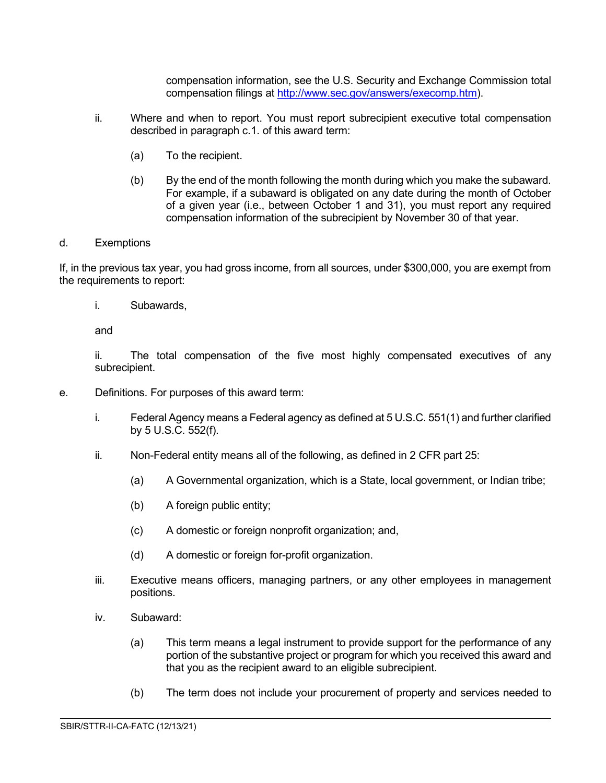compensation information, see the U.S. Security and Exchange Commission total compensation filings at [http://www.sec.gov/answers/execomp.htm\)](http://www.sec.gov/answers/execomp.htm).

- ii. Where and when to report. You must report subrecipient executive total compensation described in paragraph c.1. of this award term:
	- (a) To the recipient.
	- (b) By the end of the month following the month during which you make the subaward. For example, if a subaward is obligated on any date during the month of October of a given year (i.e., between October 1 and 31), you must report any required compensation information of the subrecipient by November 30 of that year.

#### d. Exemptions

If, in the previous tax year, you had gross income, from all sources, under \$300,000, you are exempt from the requirements to report:

i. Subawards,

and

ii. The total compensation of the five most highly compensated executives of any subrecipient.

- e. Definitions. For purposes of this award term:
	- i. Federal Agency means a Federal agency as defined at 5 U.S.C. 551(1) and further clarified by 5 U.S.C. 552(f).
	- ii. Non-Federal entity means all of the following, as defined in 2 CFR part 25:
		- (a) A Governmental organization, which is a State, local government, or Indian tribe;
		- (b) A foreign public entity;
		- (c) A domestic or foreign nonprofit organization; and,
		- (d) A domestic or foreign for-profit organization.
	- iii. Executive means officers, managing partners, or any other employees in management positions.
	- iv. Subaward:
		- (a) This term means a legal instrument to provide support for the performance of any portion of the substantive project or program for which you received this award and that you as the recipient award to an eligible subrecipient.
		- (b) The term does not include your procurement of property and services needed to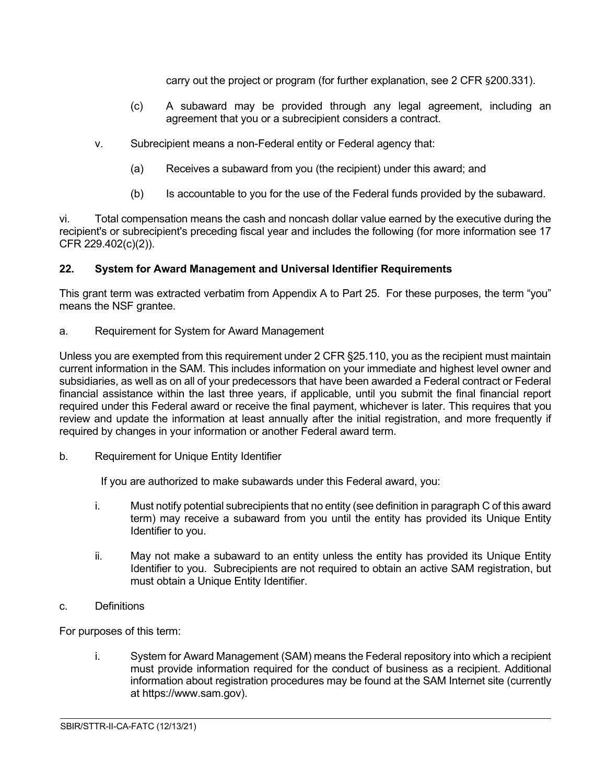carry out the project or program (for further explanation, see 2 CFR §200.331).

- (c) A subaward may be provided through any legal agreement, including an agreement that you or a subrecipient considers a contract.
- v. Subrecipient means a non-Federal entity or Federal agency that:
	- (a) Receives a subaward from you (the recipient) under this award; and
	- (b) Is accountable to you for the use of the Federal funds provided by the subaward.

vi. Total compensation means the cash and noncash dollar value earned by the executive during the recipient's or subrecipient's preceding fiscal year and includes the following (for more information see 17 CFR 229.402(c)(2)).

# <span id="page-17-0"></span>**22. System for Award Management and Universal Identifier Requirements**

This grant term was extracted verbatim from Appendix A to Part 25. For these purposes, the term "you" means the NSF grantee.

a. Requirement for System for Award Management

Unless you are exempted from this requirement under 2 CFR §25.110, you as the recipient must maintain current information in the SAM. This includes information on your immediate and highest level owner and subsidiaries, as well as on all of your predecessors that have been awarded a Federal contract or Federal financial assistance within the last three years, if applicable, until you submit the final financial report required under this Federal award or receive the final payment, whichever is later. This requires that you review and update the information at least annually after the initial registration, and more frequently if required by changes in your information or another Federal award term.

b. Requirement for Unique Entity Identifier

If you are authorized to make subawards under this Federal award, you:

- i. Must notify potential subrecipients that no entity (see definition in paragraph C of this award term) may receive a subaward from you until the entity has provided its Unique Entity Identifier to you.
- ii. May not make a subaward to an entity unless the entity has provided its Unique Entity Identifier to you. Subrecipients are not required to obtain an active SAM registration, but must obtain a Unique Entity Identifier.
- c. Definitions

For purposes of this term:

i. System for Award Management (SAM) means the Federal repository into which a recipient must provide information required for the conduct of business as a recipient. Additional information about registration procedures may be found at the SAM Internet site (currently at https://www.sam.gov).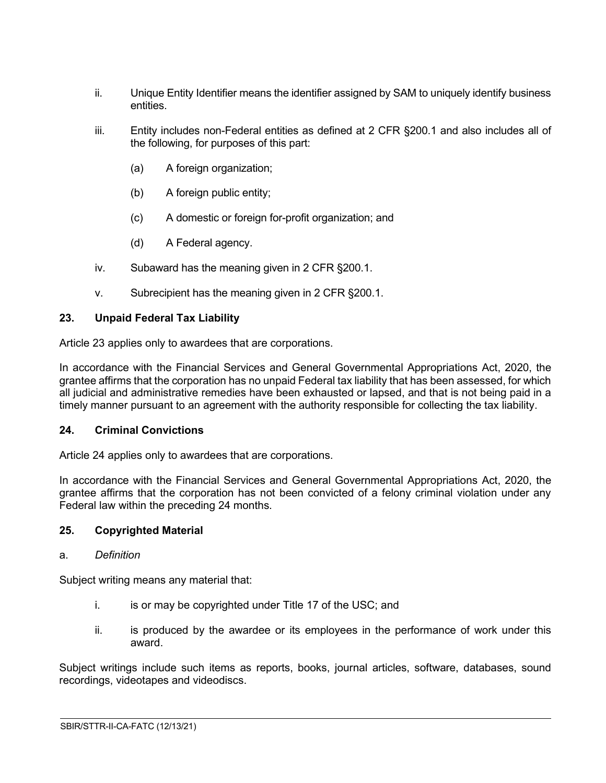- ii. Unique Entity Identifier means the identifier assigned by SAM to uniquely identify business entities.
- iii. Entity includes non-Federal entities as defined at 2 CFR §200.1 and also includes all of the following, for purposes of this part:
	- (a) A foreign organization;
	- (b) A foreign public entity;
	- (c) A domestic or foreign for-profit organization; and
	- (d) A Federal agency.
- iv. Subaward has the meaning given in 2 CFR §200.1.
- v. Subrecipient has the meaning given in 2 CFR §200.1.

# <span id="page-18-0"></span>**23. Unpaid Federal Tax Liability**

Article 23 applies only to awardees that are corporations.

In accordance with the Financial Services and General Governmental Appropriations Act, 2020, the grantee affirms that the corporation has no unpaid Federal tax liability that has been assessed, for which all judicial and administrative remedies have been exhausted or lapsed, and that is not being paid in a timely manner pursuant to an agreement with the authority responsible for collecting the tax liability.

### <span id="page-18-1"></span>**24. Criminal Convictions**

Article 24 applies only to awardees that are corporations.

In accordance with the Financial Services and General Governmental Appropriations Act, 2020, the grantee affirms that the corporation has not been convicted of a felony criminal violation under any Federal law within the preceding 24 months.

### <span id="page-18-2"></span>**25. Copyrighted Material**

### a. *Definition*

Subject writing means any material that:

- i. is or may be copyrighted under Title 17 of the USC; and
- ii. is produced by the awardee or its employees in the performance of work under this award.

 $\overline{a}$ 

Subject writings include such items as reports, books, journal articles, software, databases, sound recordings, videotapes and videodiscs.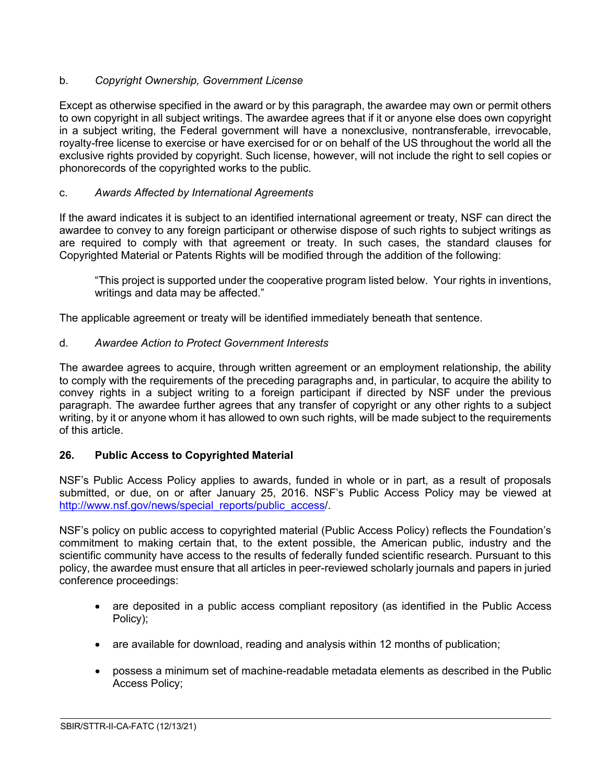# b. *Copyright Ownership, Government License*

Except as otherwise specified in the award or by this paragraph, the awardee may own or permit others to own copyright in all subject writings. The awardee agrees that if it or anyone else does own copyright in a subject writing, the Federal government will have a nonexclusive, nontransferable, irrevocable, royalty-free license to exercise or have exercised for or on behalf of the US throughout the world all the exclusive rights provided by copyright. Such license, however, will not include the right to sell copies or phonorecords of the copyrighted works to the public.

# c. *Awards Affected by International Agreements*

If the award indicates it is subject to an identified international agreement or treaty, NSF can direct the awardee to convey to any foreign participant or otherwise dispose of such rights to subject writings as are required to comply with that agreement or treaty. In such cases, the standard clauses for Copyrighted Material or Patents Rights will be modified through the addition of the following:

"This project is supported under the cooperative program listed below. Your rights in inventions, writings and data may be affected."

The applicable agreement or treaty will be identified immediately beneath that sentence.

# d. *Awardee Action to Protect Government Interests*

The awardee agrees to acquire, through written agreement or an employment relationship, the ability to comply with the requirements of the preceding paragraphs and, in particular, to acquire the ability to convey rights in a subject writing to a foreign participant if directed by NSF under the previous paragraph. The awardee further agrees that any transfer of copyright or any other rights to a subject writing, by it or anyone whom it has allowed to own such rights, will be made subject to the requirements of this article.

# <span id="page-19-0"></span>**26. Public Access to Copyrighted Material**

NSF's Public Access Policy applies to awards, funded in whole or in part, as a result of proposals submitted, or due, on or after January 25, 2016. NSF's Public Access Policy may be viewed at [http://www.nsf.gov/news/special\\_reports/public\\_access/](http://www.nsf.gov/news/special_reports/public_access).

NSF's policy on public access to copyrighted material (Public Access Policy) reflects the Foundation's commitment to making certain that, to the extent possible, the American public, industry and the scientific community have access to the results of federally funded scientific research. Pursuant to this policy, the awardee must ensure that all articles in peer-reviewed scholarly journals and papers in juried conference proceedings:

- are deposited in a public access compliant repository (as identified in the Public Access Policy);
- are available for download, reading and analysis within 12 months of publication;
- possess a minimum set of machine-readable metadata elements as described in the Public Access Policy;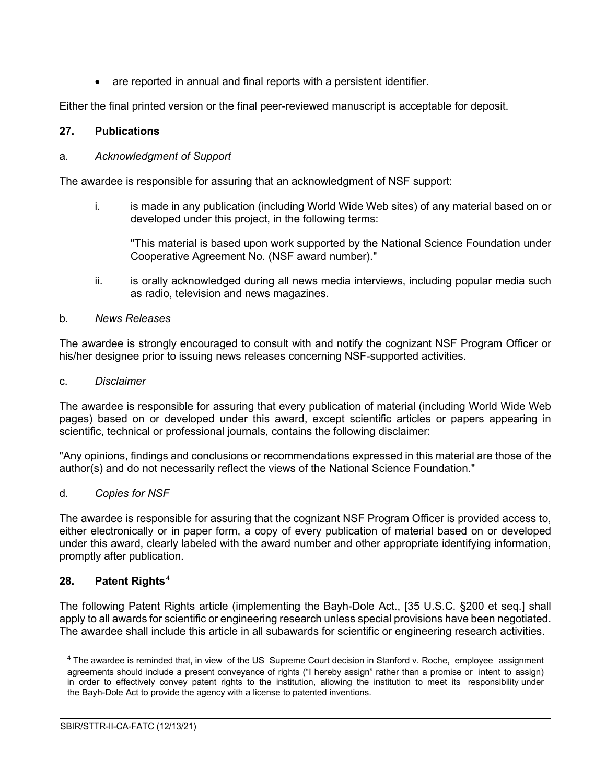are reported in annual and final reports with a persistent identifier.

Either the final printed version or the final peer-reviewed manuscript is acceptable for deposit.

# <span id="page-20-0"></span>**27. Publications**

### a. *Acknowledgment of Support*

The awardee is responsible for assuring that an acknowledgment of NSF support:

i. is made in any publication (including World Wide Web sites) of any material based on or developed under this project, in the following terms:

"This material is based upon work supported by the National Science Foundation under Cooperative Agreement No. (NSF award number)."

ii. is orally acknowledged during all news media interviews, including popular media such as radio, television and news magazines.

# b. *News Releases*

The awardee is strongly encouraged to consult with and notify the cognizant NSF Program Officer or his/her designee prior to issuing news releases concerning NSF-supported activities.

### c. *Disclaimer*

The awardee is responsible for assuring that every publication of material (including World Wide Web pages) based on or developed under this award, except scientific articles or papers appearing in scientific, technical or professional journals, contains the following disclaimer:

"Any opinions, findings and conclusions or recommendations expressed in this material are those of the author(s) and do not necessarily reflect the views of the National Science Foundation."

### d. *Copies for NSF*

The awardee is responsible for assuring that the cognizant NSF Program Officer is provided access to, either electronically or in paper form, a copy of every publication of material based on or developed under this award, clearly labeled with the award number and other appropriate identifying information, promptly after publication.

# <span id="page-20-1"></span>**28. Patent Rights**[4](#page-20-2)

The following Patent Rights article (implementing the Bayh-Dole Act., [35 U.S.C. §200 et seq.] shall apply to all awards for scientific or engineering research unless special provisions have been negotiated. The awardee shall include this article in all subawards for scientific or engineering research activities.

<span id="page-20-2"></span> $4$  The awardee is reminded that, in view of the US Supreme Court decision in Stanford v. Roche, employee assignment agreements should include a present conveyance of rights ("I hereby assign" rather than a promise or intent to assign) in order to effectively convey patent rights to the institution, allowing the institution to meet its responsibility under the Bayh-Dole Act to provide the agency with a license to patented inventions.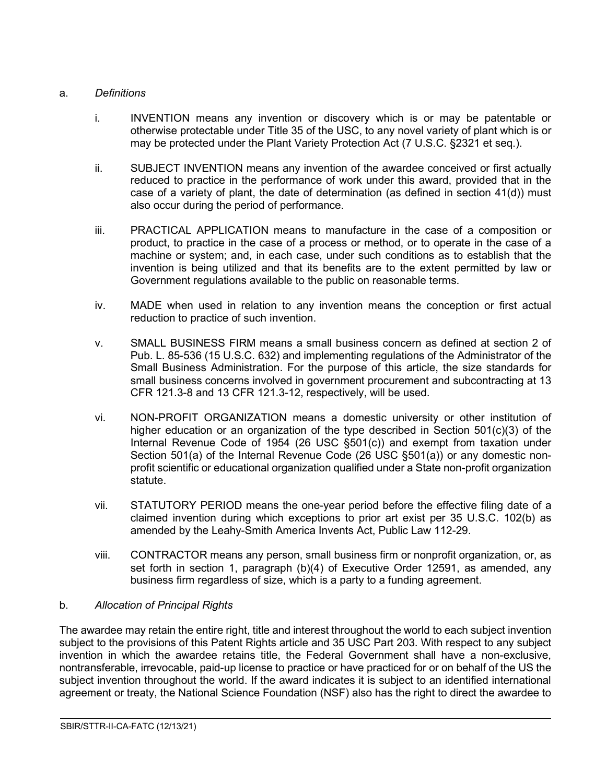### a. *Definitions*

- i. INVENTION means any invention or discovery which is or may be patentable or otherwise protectable under Title 35 of the USC, to any novel variety of plant which is or may be protected under the Plant Variety Protection Act (7 U.S.C. §2321 et seq.).
- ii. SUBJECT INVENTION means any invention of the awardee conceived or first actually reduced to practice in the performance of work under this award, provided that in the case of a variety of plant, the date of determination (as defined in section  $41(d)$ ) must also occur during the period of performance.
- iii. PRACTICAL APPLICATION means to manufacture in the case of a composition or product, to practice in the case of a process or method, or to operate in the case of a machine or system; and, in each case, under such conditions as to establish that the invention is being utilized and that its benefits are to the extent permitted by law or Government regulations available to the public on reasonable terms.
- iv. MADE when used in relation to any invention means the conception or first actual reduction to practice of such invention.
- v. SMALL BUSINESS FIRM means a small business concern as defined at section 2 of Pub. L. 85-536 (15 U.S.C. 632) and implementing regulations of the Administrator of the Small Business Administration. For the purpose of this article, the size standards for small business concerns involved in government procurement and subcontracting at 13 CFR 121.3-8 and 13 CFR 121.3-12, respectively, will be used.
- vi. NON-PROFIT ORGANIZATION means a domestic university or other institution of higher education or an organization of the type described in Section  $501(c)(3)$  of the Internal Revenue Code of 1954 (26 USC §501(c)) and exempt from taxation under Section 501(a) of the Internal Revenue Code (26 USC §501(a)) or any domestic nonprofit scientific or educational organization qualified under a State non-profit organization statute.
- vii. STATUTORY PERIOD means the one-year period before the effective filing date of a claimed invention during which exceptions to prior art exist per 35 U.S.C. 102(b) as amended by the Leahy-Smith America Invents Act, Public Law 112-29.
- viii. CONTRACTOR means any person, small business firm or nonprofit organization, or, as set forth in section 1, paragraph (b)(4) of Executive Order 12591, as amended, any business firm regardless of size, which is a party to a funding agreement.

# b. *Allocation of Principal Rights*

The awardee may retain the entire right, title and interest throughout the world to each subject invention subject to the provisions of this Patent Rights article and 35 USC Part 203. With respect to any subject invention in which the awardee retains title, the Federal Government shall have a non-exclusive, nontransferable, irrevocable, paid-up license to practice or have practiced for or on behalf of the US the subject invention throughout the world. If the award indicates it is subject to an identified international agreement or treaty, the National Science Foundation (NSF) also has the right to direct the awardee to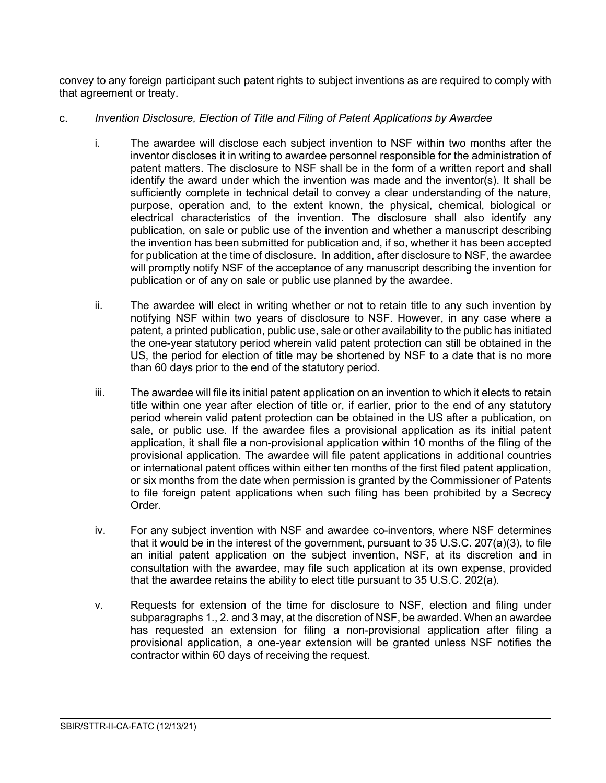convey to any foreign participant such patent rights to subject inventions as are required to comply with that agreement or treaty.

# c. *Invention Disclosure, Election of Title and Filing of Patent Applications by Awardee*

- i. The awardee will disclose each subject invention to NSF within two months after the inventor discloses it in writing to awardee personnel responsible for the administration of patent matters. The disclosure to NSF shall be in the form of a written report and shall identify the award under which the invention was made and the inventor(s). It shall be sufficiently complete in technical detail to convey a clear understanding of the nature, purpose, operation and, to the extent known, the physical, chemical, biological or electrical characteristics of the invention. The disclosure shall also identify any publication, on sale or public use of the invention and whether a manuscript describing the invention has been submitted for publication and, if so, whether it has been accepted for publication at the time of disclosure. In addition, after disclosure to NSF, the awardee will promptly notify NSF of the acceptance of any manuscript describing the invention for publication or of any on sale or public use planned by the awardee.
- ii. The awardee will elect in writing whether or not to retain title to any such invention by notifying NSF within two years of disclosure to NSF. However, in any case where a patent, a printed publication, public use, sale or other availability to the public has initiated the one-year statutory period wherein valid patent protection can still be obtained in the US, the period for election of title may be shortened by NSF to a date that is no more than 60 days prior to the end of the statutory period.
- iii. The awardee will file its initial patent application on an invention to which it elects to retain title within one year after election of title or, if earlier, prior to the end of any statutory period wherein valid patent protection can be obtained in the US after a publication, on sale, or public use. If the awardee files a provisional application as its initial patent application, it shall file a non-provisional application within 10 months of the filing of the provisional application. The awardee will file patent applications in additional countries or international patent offices within either ten months of the first filed patent application, or six months from the date when permission is granted by the Commissioner of Patents to file foreign patent applications when such filing has been prohibited by a Secrecy Order.
- iv. For any subject invention with NSF and awardee co-inventors, where NSF determines that it would be in the interest of the government, pursuant to 35 U.S.C. 207(a)(3), to file an initial patent application on the subject invention, NSF, at its discretion and in consultation with the awardee, may file such application at its own expense, provided that the awardee retains the ability to elect title pursuant to 35 U.S.C. 202(a).
- v. Requests for extension of the time for disclosure to NSF, election and filing under subparagraphs 1., 2. and 3 may, at the discretion of NSF, be awarded. When an awardee has requested an extension for filing a non-provisional application after filing a provisional application, a one-year extension will be granted unless NSF notifies the contractor within 60 days of receiving the request.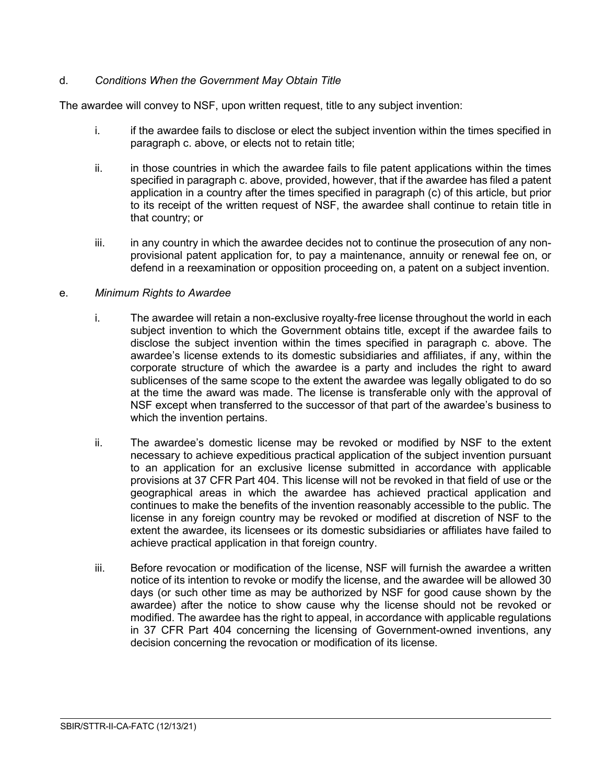# d. *Conditions When the Government May Obtain Title*

The awardee will convey to NSF, upon written request, title to any subject invention:

- i. if the awardee fails to disclose or elect the subject invention within the times specified in paragraph c. above, or elects not to retain title;
- ii. in those countries in which the awardee fails to file patent applications within the times specified in paragraph c. above, provided, however, that if the awardee has filed a patent application in a country after the times specified in paragraph (c) of this article, but prior to its receipt of the written request of NSF, the awardee shall continue to retain title in that country; or
- iii. in any country in which the awardee decides not to continue the prosecution of any nonprovisional patent application for, to pay a maintenance, annuity or renewal fee on, or defend in a reexamination or opposition proceeding on, a patent on a subject invention.

### e. *Minimum Rights to Awardee*

- i. The awardee will retain a non-exclusive royalty-free license throughout the world in each subject invention to which the Government obtains title, except if the awardee fails to disclose the subject invention within the times specified in paragraph c. above. The awardee's license extends to its domestic subsidiaries and affiliates, if any, within the corporate structure of which the awardee is a party and includes the right to award sublicenses of the same scope to the extent the awardee was legally obligated to do so at the time the award was made. The license is transferable only with the approval of NSF except when transferred to the successor of that part of the awardee's business to which the invention pertains.
- ii. The awardee's domestic license may be revoked or modified by NSF to the extent necessary to achieve expeditious practical application of the subject invention pursuant to an application for an exclusive license submitted in accordance with applicable provisions at 37 CFR Part 404. This license will not be revoked in that field of use or the geographical areas in which the awardee has achieved practical application and continues to make the benefits of the invention reasonably accessible to the public. The license in any foreign country may be revoked or modified at discretion of NSF to the extent the awardee, its licensees or its domestic subsidiaries or affiliates have failed to achieve practical application in that foreign country.
- iii. Before revocation or modification of the license, NSF will furnish the awardee a written notice of its intention to revoke or modify the license, and the awardee will be allowed 30 days (or such other time as may be authorized by NSF for good cause shown by the awardee) after the notice to show cause why the license should not be revoked or modified. The awardee has the right to appeal, in accordance with applicable regulations in 37 CFR Part 404 concerning the licensing of Government-owned inventions, any decision concerning the revocation or modification of its license.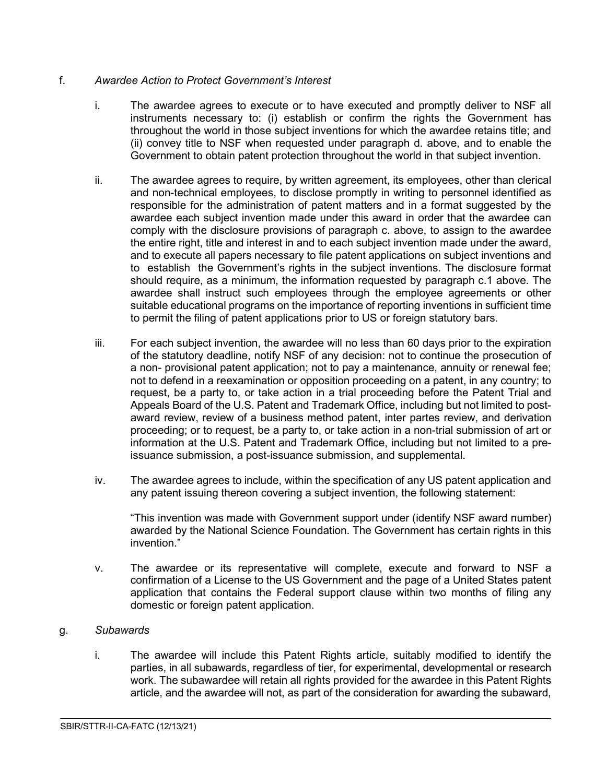# f. *Awardee Action to Protect Government's Interest*

- i. The awardee agrees to execute or to have executed and promptly deliver to NSF all instruments necessary to: (i) establish or confirm the rights the Government has throughout the world in those subject inventions for which the awardee retains title; and (ii) convey title to NSF when requested under paragraph d. above, and to enable the Government to obtain patent protection throughout the world in that subject invention.
- ii. The awardee agrees to require, by written agreement, its employees, other than clerical and non-technical employees, to disclose promptly in writing to personnel identified as responsible for the administration of patent matters and in a format suggested by the awardee each subject invention made under this award in order that the awardee can comply with the disclosure provisions of paragraph c. above, to assign to the awardee the entire right, title and interest in and to each subject invention made under the award, and to execute all papers necessary to file patent applications on subject inventions and to establish the Government's rights in the subject inventions. The disclosure format should require, as a minimum, the information requested by paragraph c.1 above. The awardee shall instruct such employees through the employee agreements or other suitable educational programs on the importance of reporting inventions in sufficient time to permit the filing of patent applications prior to US or foreign statutory bars.
- iii. For each subject invention, the awardee will no less than 60 days prior to the expiration of the statutory deadline, notify NSF of any decision: not to continue the prosecution of a non- provisional patent application; not to pay a maintenance, annuity or renewal fee; not to defend in a reexamination or opposition proceeding on a patent, in any country; to request, be a party to, or take action in a trial proceeding before the Patent Trial and Appeals Board of the U.S. Patent and Trademark Office, including but not limited to postaward review, review of a business method patent, inter partes review, and derivation proceeding; or to request, be a party to, or take action in a non-trial submission of art or information at the U.S. Patent and Trademark Office, including but not limited to a preissuance submission, a post-issuance submission, and supplemental.
- iv. The awardee agrees to include, within the specification of any US patent application and any patent issuing thereon covering a subject invention, the following statement:

"This invention was made with Government support under (identify NSF award number) awarded by the National Science Foundation. The Government has certain rights in this invention."

v. The awardee or its representative will complete, execute and forward to NSF a confirmation of a License to the US Government and the page of a United States patent application that contains the Federal support clause within two months of filing any domestic or foreign patent application.

### g. *Subawards*

i. The awardee will include this Patent Rights article, suitably modified to identify the parties, in all subawards, regardless of tier, for experimental, developmental or research work. The subawardee will retain all rights provided for the awardee in this Patent Rights article, and the awardee will not, as part of the consideration for awarding the subaward,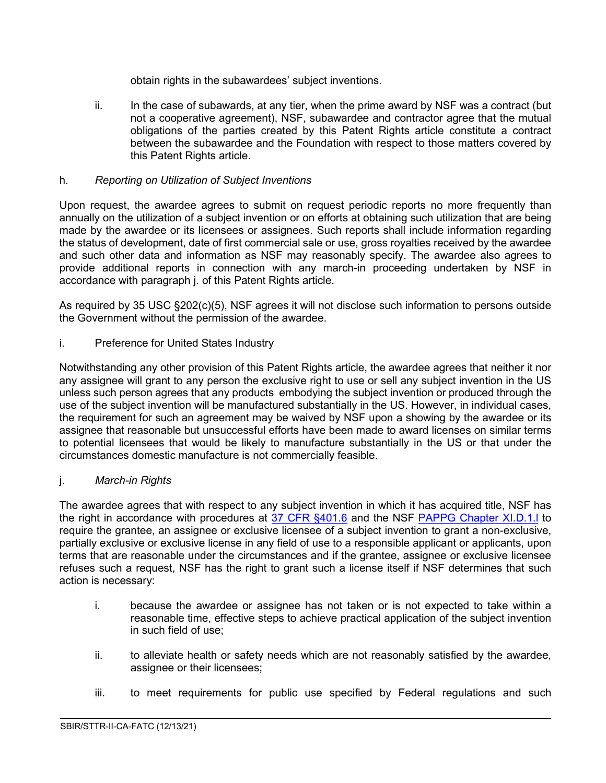obtain rights in the subawardees' subject inventions.

ii. In the case of subawards, at any tier, when the prime award by NSF was a contract (but not a cooperative agreement), NSF, subawardee and contractor agree that the mutual obligations of the parties created by this Patent Rights article constitute a contract between the subawardee and the Foundation with respect to those matters covered by this Patent Rights article.

# h. *Reporting on Utilization of Subject Inventions*

Upon request, the awardee agrees to submit on request periodic reports no more frequently than annually on the utilization of a subject invention or on efforts at obtaining such utilization that are being made by the awardee or its licensees or assignees. Such reports shall include information regarding the status of development, date of first commercial sale or use, gross royalties received by the awardee and such other data and information as NSF may reasonably specify. The awardee also agrees to provide additional reports in connection with any march-in proceeding undertaken by NSF in accordance with paragraph j. of this Patent Rights article.

As required by 35 USC §202(c)(5), NSF agrees it will not disclose such information to persons outside the Government without the permission of the awardee.

i. Preference for United States Industry

Notwithstanding any other provision of this Patent Rights article, the awardee agrees that neither it nor any assignee will grant to any person the exclusive right to use or sell any subject invention in the US unless such person agrees that any products embodying the subject invention or produced through the use of the subject invention will be manufactured substantially in the US. However, in individual cases, the requirement for such an agreement may be waived by NSF upon a showing by the awardee or its assignee that reasonable but unsuccessful efforts have been made to award licenses on similar terms to potential licensees that would be likely to manufacture substantially in the US or that under the circumstances domestic manufacture is not commercially feasible.

### j. *March-in Rights*

The awardee agrees that with respect to any subject invention in which it has acquired title, NSF has the right in accordance with procedures at [37 CFR §401.6](http://www.access.gpo.gov/nara/cfr/waisidx_06/37cfr401_06.html) and the NSF PAPPG Chapter XI.D.1.I to require the grantee, an assignee or exclusive licensee of a subject invention to grant a non-exclusive, partially exclusive or exclusive license in any field of use to a responsible applicant or applicants, upon terms that are reasonable under the circumstances and if the grantee, assignee or exclusive licensee refuses such a request, NSF has the right to grant such a license itself if NSF determines that such action is necessary:

- i. because the awardee or assignee has not taken or is not expected to take within a reasonable time, effective steps to achieve practical application of the subject invention in such field of use;
- ii. to alleviate health or safety needs which are not reasonably satisfied by the awardee, assignee or their licensees;
- iii. to meet requirements for public use specified by Federal regulations and such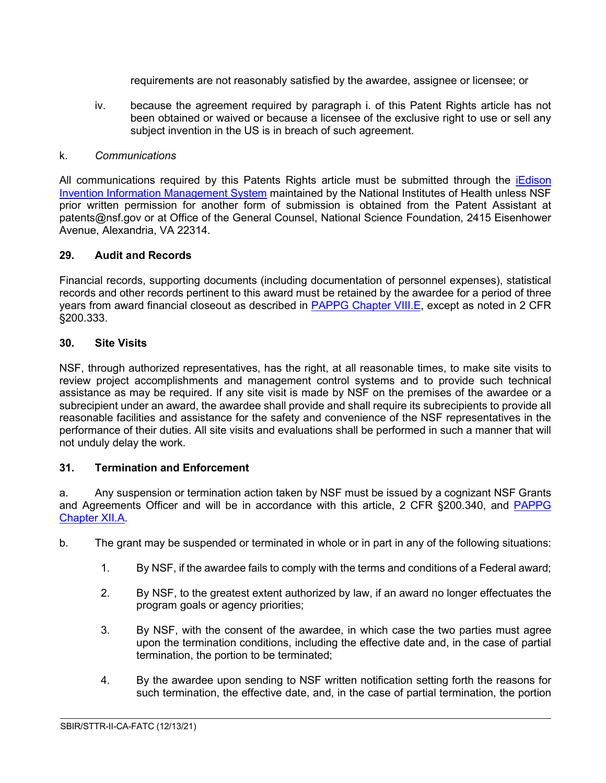requirements are not reasonably satisfied by the awardee, assignee or licensee; or

iv. because the agreement required by paragraph i. of this Patent Rights article has not been obtained or waived or because a licensee of the exclusive right to use or sell any subject invention in the US is in breach of such agreement.

### k. *Communications*

All communications required by this Patents Rights article must be submitted through the *iEdison* [Invention Information Management System](https://public.era.nih.gov/iedison/public/login.do?TYPE=33554433&REALMOID=06-dc4d00e8-1464-45e1-937f-0525407c30fd&GUID&SMAUTHREASON=0&METHOD=GET&SMAGENTNAME=-SM-938PYmoLVb4VrDeXo04LZUDVDvc%2b3899ByInEAjuSUvWNIGfB2zRpWiCivYGCogG&TARGET=-SM-http%3a%2f%2fpublic%2eera%2enih%2egov%2fiedison) maintained by the National Institutes of Health unless NSF prior written permission for another form of submission is obtained from the Patent Assistant at patents@nsf.gov or at Office of the General Counsel, National Science Foundation, 2415 Eisenhower Avenue, Alexandria, VA 22314.

### <span id="page-26-0"></span>**29. Audit and Records**

Financial records, supporting documents (including documentation of personnel expenses), statistical records and other records pertinent to this award must be retained by the awardee for a period of three years from award financial closeout as described in [PAPPG Chapter VIII.E,](https://www.nsf.gov/pubs/policydocs/pappg22_1/pappg_8.jsp#VIIIE) except as noted in 2 CFR §200.333.

# <span id="page-26-1"></span>**30. Site Visits**

NSF, through authorized representatives, has the right, at all reasonable times, to make site visits to review project accomplishments and management control systems and to provide such technical assistance as may be required. If any site visit is made by NSF on the premises of the awardee or a subrecipient under an award, the awardee shall provide and shall require its subrecipients to provide all reasonable facilities and assistance for the safety and convenience of the NSF representatives in the performance of their duties. All site visits and evaluations shall be performed in such a manner that will not unduly delay the work.

# <span id="page-26-2"></span>**31. Termination and Enforcement**

a. Any suspension or termination action taken by NSF must be issued by a cognizant NSF Grants and Agreements Officer and will be in accordance with this article, 2 CFR §200.340, and [PAPPG](https://www.nsf.gov/pubs/policydocs/pappg22_1/pappg_12.jsp#XIIA)  [Chapter XII.A.](https://www.nsf.gov/pubs/policydocs/pappg22_1/pappg_12.jsp#XIIA)

- b. The grant may be suspended or terminated in whole or in part in any of the following situations:
	- 1. By NSF, if the awardee fails to comply with the terms and conditions of a Federal award;
	- 2. By NSF, to the greatest extent authorized by law, if an award no longer effectuates the program goals or agency priorities;
	- 3. By NSF, with the consent of the awardee, in which case the two parties must agree upon the termination conditions, including the effective date and, in the case of partial termination, the portion to be terminated;
	- 4. By the awardee upon sending to NSF written notification setting forth the reasons for such termination, the effective date, and, in the case of partial termination, the portion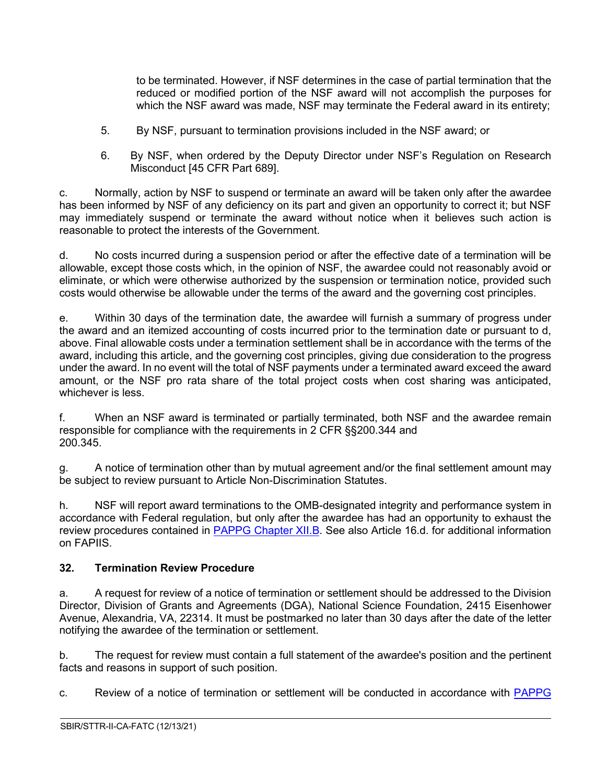to be terminated. However, if NSF determines in the case of partial termination that the reduced or modified portion of the NSF award will not accomplish the purposes for which the NSF award was made, NSF may terminate the Federal award in its entirety;

- 5. By NSF, pursuant to termination provisions included in the NSF award; or
- 6. By NSF, when ordered by the Deputy Director under NSF's Regulation on Research Misconduct [45 CFR Part 689].

c. Normally, action by NSF to suspend or terminate an award will be taken only after the awardee has been informed by NSF of any deficiency on its part and given an opportunity to correct it; but NSF may immediately suspend or terminate the award without notice when it believes such action is reasonable to protect the interests of the Government.

d. No costs incurred during a suspension period or after the effective date of a termination will be allowable, except those costs which, in the opinion of NSF, the awardee could not reasonably avoid or eliminate, or which were otherwise authorized by the suspension or termination notice, provided such costs would otherwise be allowable under the terms of the award and the governing cost principles.

e. Within 30 days of the termination date, the awardee will furnish a summary of progress under the award and an itemized accounting of costs incurred prior to the termination date or pursuant to d, above. Final allowable costs under a termination settlement shall be in accordance with the terms of the award, including this article, and the governing cost principles, giving due consideration to the progress under the award. In no event will the total of NSF payments under a terminated award exceed the award amount, or the NSF pro rata share of the total project costs when cost sharing was anticipated, whichever is less.

f. When an NSF award is terminated or partially terminated, both NSF and the awardee remain responsible for compliance with the requirements in 2 CFR §§200.344 and 200.345.

g. A notice of termination other than by mutual agreement and/or the final settlement amount may be subject to review pursuant to Article Non-Discrimination Statutes.

h. NSF will report award terminations to the OMB-designated integrity and performance system in accordance with Federal regulation, but only after the awardee has had an opportunity to exhaust the review procedures contained in [PAPPG Chapter XII.B.](https://www.nsf.gov/pubs/policydocs/pappg22_1/pappg_12.jsp#XIIB) See also Article 16.d. for additional information on FAPIIS.

# <span id="page-27-0"></span>**32. Termination Review Procedure**

a. A request for review of a notice of termination or settlement should be addressed to the Division Director, Division of Grants and Agreements (DGA), National Science Foundation, 2415 Eisenhower Avenue, Alexandria, VA, 22314. It must be postmarked no later than 30 days after the date of the letter notifying the awardee of the termination or settlement.

b. The request for review must contain a full statement of the awardee's position and the pertinent facts and reasons in support of such position.

c. Review of a notice of termination or settlement will be conducted in accordance with [PAPPG](https://www.nsf.gov/pubs/policydocs/pappg22_1/pappg_12.jsp#XIIB3)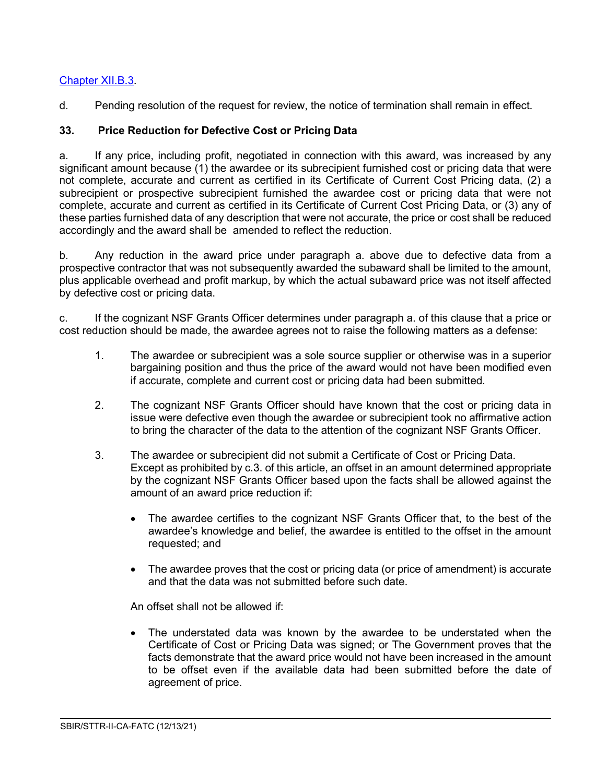# [Chapter XII.B.3.](https://www.nsf.gov/pubs/policydocs/pappg22_1/pappg_12.jsp#XIIB3)

d. Pending resolution of the request for review, the notice of termination shall remain in effect.

# <span id="page-28-0"></span>**33. Price Reduction for Defective Cost or Pricing Data**

a. If any price, including profit, negotiated in connection with this award, was increased by any significant amount because (1) the awardee or its subrecipient furnished cost or pricing data that were not complete, accurate and current as certified in its Certificate of Current Cost Pricing data, (2) a subrecipient or prospective subrecipient furnished the awardee cost or pricing data that were not complete, accurate and current as certified in its Certificate of Current Cost Pricing Data, or (3) any of these parties furnished data of any description that were not accurate, the price or cost shall be reduced accordingly and the award shall be amended to reflect the reduction.

b. Any reduction in the award price under paragraph a. above due to defective data from a prospective contractor that was not subsequently awarded the subaward shall be limited to the amount, plus applicable overhead and profit markup, by which the actual subaward price was not itself affected by defective cost or pricing data.

c. If the cognizant NSF Grants Officer determines under paragraph a. of this clause that a price or cost reduction should be made, the awardee agrees not to raise the following matters as a defense:

- 1. The awardee or subrecipient was a sole source supplier or otherwise was in a superior bargaining position and thus the price of the award would not have been modified even if accurate, complete and current cost or pricing data had been submitted.
- 2. The cognizant NSF Grants Officer should have known that the cost or pricing data in issue were defective even though the awardee or subrecipient took no affirmative action to bring the character of the data to the attention of the cognizant NSF Grants Officer.
- 3. The awardee or subrecipient did not submit a Certificate of Cost or Pricing Data. Except as prohibited by c.3. of this article, an offset in an amount determined appropriate by the cognizant NSF Grants Officer based upon the facts shall be allowed against the amount of an award price reduction if:
	- The awardee certifies to the cognizant NSF Grants Officer that, to the best of the awardee's knowledge and belief, the awardee is entitled to the offset in the amount requested; and
	- The awardee proves that the cost or pricing data (or price of amendment) is accurate and that the data was not submitted before such date.

An offset shall not be allowed if:

• The understated data was known by the awardee to be understated when the Certificate of Cost or Pricing Data was signed; or The Government proves that the facts demonstrate that the award price would not have been increased in the amount to be offset even if the available data had been submitted before the date of agreement of price.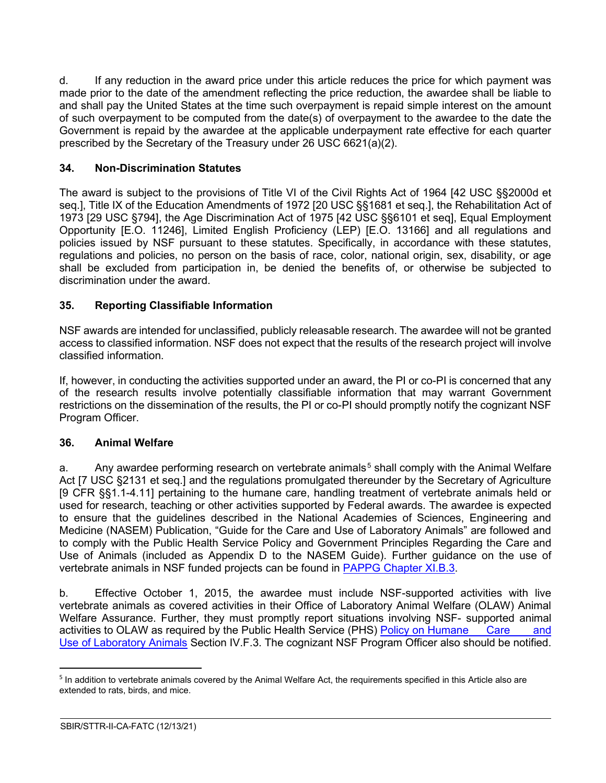d. If any reduction in the award price under this article reduces the price for which payment was made prior to the date of the amendment reflecting the price reduction, the awardee shall be liable to and shall pay the United States at the time such overpayment is repaid simple interest on the amount of such overpayment to be computed from the date(s) of overpayment to the awardee to the date the Government is repaid by the awardee at the applicable underpayment rate effective for each quarter prescribed by the Secretary of the Treasury under 26 USC 6621(a)(2).

# <span id="page-29-0"></span>**34. Non-Discrimination Statutes**

The award is subject to the provisions of Title VI of the Civil Rights Act of 1964 [42 USC §§2000d et seq.], Title IX of the Education Amendments of 1972 [20 USC §§1681 et seq.], the Rehabilitation Act of 1973 [29 USC §794], the Age Discrimination Act of 1975 [42 USC §§6101 et seq], Equal Employment Opportunity [E.O. 11246], Limited English Proficiency (LEP) [E.O. 13166] and all regulations and policies issued by NSF pursuant to these statutes. Specifically, in accordance with these statutes, regulations and policies, no person on the basis of race, color, national origin, sex, disability, or age shall be excluded from participation in, be denied the benefits of, or otherwise be subjected to discrimination under the award.

# <span id="page-29-1"></span>**35. Reporting Classifiable Information**

NSF awards are intended for unclassified, publicly releasable research. The awardee will not be granted access to classified information. NSF does not expect that the results of the research project will involve classified information.

If, however, in conducting the activities supported under an award, the PI or co-PI is concerned that any of the research results involve potentially classifiable information that may warrant Government restrictions on the dissemination of the results, the PI or co-PI should promptly notify the cognizant NSF Program Officer.

### <span id="page-29-2"></span>**36. Animal Welfare**

a. Any awardee performing research on vertebrate animals<sup>[5](#page-29-3)</sup> shall comply with the Animal Welfare Act [7 USC §2131 et seq.] and the regulations promulgated thereunder by the Secretary of Agriculture [9 CFR §§1.1-4.11] pertaining to the humane care, handling treatment of vertebrate animals held or used for research, teaching or other activities supported by Federal awards. The awardee is expected to ensure that the guidelines described in the National Academies of Sciences, Engineering and Medicine (NASEM) Publication, "Guide for the Care and Use of Laboratory Animals" are followed and to comply with the Public Health Service Policy and Government Principles Regarding the Care and Use of Animals (included as Appendix D to the NASEM Guide). Further guidance on the use of vertebrate animals in NSF funded projects can be found in [PAPPG Chapter XI.B.3.](https://www.nsf.gov/pubs/policydocs/pappg22_1/pappg_11.jsp#XIB3)

b. Effective October 1, 2015, the awardee must include NSF-supported activities with live vertebrate animals as covered activities in their Office of Laboratory Animal Welfare (OLAW) Animal Welfare Assurance. Further, they must promptly report situations involving NSF- supported animal activities to OLAW as required by the Public Health Service (PHS) [Policy on Humane](https://olaw.nih.gov/policies-laws/phs-policy.htm) Care and Use of [Laboratory](https://olaw.nih.gov/policies-laws/phs-policy.htm) Animals Section IV.F.3. The cognizant NSF Program Officer also should be notified.

<span id="page-29-3"></span><sup>&</sup>lt;sup>5</sup> In addition to vertebrate animals covered by the Animal Welfare Act, the requirements specified in this Article also are extended to rats, birds, and mice.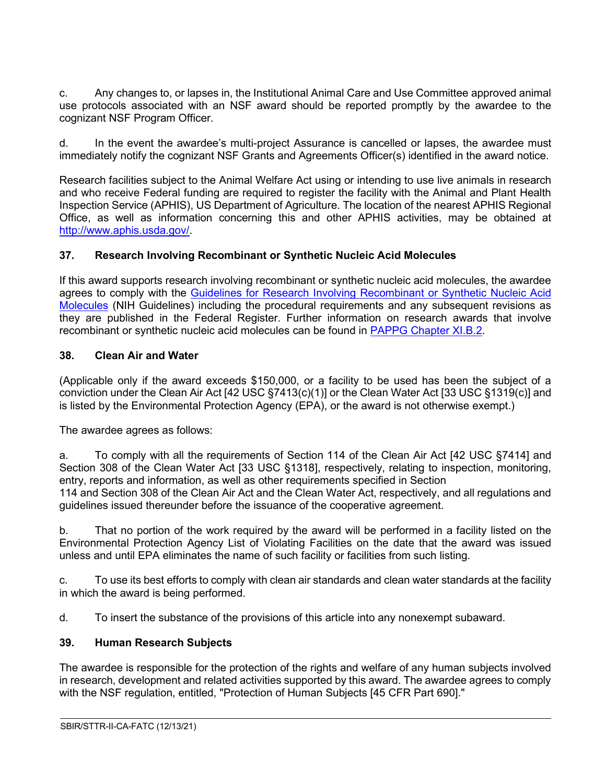c. Any changes to, or lapses in, the Institutional Animal Care and Use Committee approved animal use protocols associated with an NSF award should be reported promptly by the awardee to the cognizant NSF Program Officer.

d. In the event the awardee's multi-project Assurance is cancelled or lapses, the awardee must immediately notify the cognizant NSF Grants and Agreements Officer(s) identified in the award notice.

Research facilities subject to the Animal Welfare Act using or intending to use live animals in research and who receive Federal funding are required to register the facility with the Animal and Plant Health Inspection Service (APHIS), US Department of Agriculture. The location of the nearest APHIS Regional Office, as well as information concerning this and other APHIS activities, may be obtained at [http://www.aphis.usda.gov/.](http://www.aphis.usda.gov/)

# <span id="page-30-0"></span>**37. Research Involving Recombinant or Synthetic Nucleic Acid Molecules**

If this award supports research involving recombinant or synthetic nucleic acid molecules, the awardee agrees to comply with the [Guidelines for Research Involving Recombinant or Synthetic Nucleic Acid](http://osp.od.nih.gov/office-biotechnology-activities/biosafety/nih-guidelines)  [Molecules](http://osp.od.nih.gov/office-biotechnology-activities/biosafety/nih-guidelines) (NIH Guidelines) including the procedural requirements and any subsequent revisions as they are published in the Federal Register. Further information on research awards that involve recombinant or synthetic nucleic acid molecules can be found in [PAPPG Chapter XI.B.2.](https://www.nsf.gov/pubs/policydocs/pappg22_1/pappg_11.jsp#XIB2)

### <span id="page-30-1"></span>**38. Clean Air and Water**

(Applicable only if the award exceeds \$150,000, or a facility to be used has been the subject of a conviction under the Clean Air Act [42 USC §7413(c)(1)] or the Clean Water Act [33 USC §1319(c)] and is listed by the Environmental Protection Agency (EPA), or the award is not otherwise exempt.)

The awardee agrees as follows:

a. To comply with all the requirements of Section 114 of the Clean Air Act [42 USC §7414] and Section 308 of the Clean Water Act [33 USC §1318], respectively, relating to inspection, monitoring, entry, reports and information, as well as other requirements specified in Section 114 and Section 308 of the Clean Air Act and the Clean Water Act, respectively, and all regulations and guidelines issued thereunder before the issuance of the cooperative agreement.

b. That no portion of the work required by the award will be performed in a facility listed on the Environmental Protection Agency List of Violating Facilities on the date that the award was issued unless and until EPA eliminates the name of such facility or facilities from such listing.

c. To use its best efforts to comply with clean air standards and clean water standards at the facility in which the award is being performed.

d. To insert the substance of the provisions of this article into any nonexempt subaward.

### <span id="page-30-2"></span>**39. Human Research Subjects**

The awardee is responsible for the protection of the rights and welfare of any human subjects involved in research, development and related activities supported by this award. The awardee agrees to comply with the NSF regulation, entitled, "Protection of Human Subjects [45 CFR Part 690]."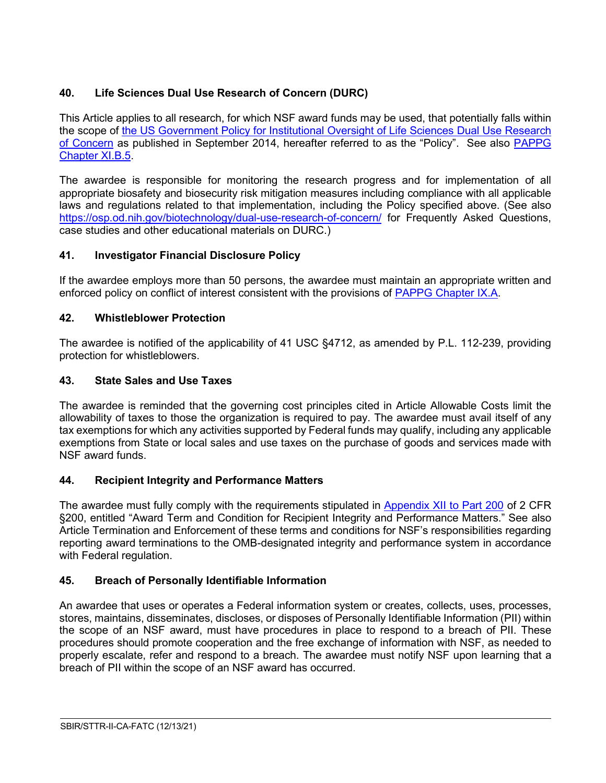# <span id="page-31-0"></span>**40. Life Sciences Dual Use Research of Concern (DURC)**

This Article applies to all research, for which NSF award funds may be used, that potentially falls within the scope of [the US Government Policy for Institutional Oversight of Life Sciences Dual Use Research](http://www.phe.gov/s3/dualuse/Pages/default.aspx)  [of Concern](http://www.phe.gov/s3/dualuse/Pages/default.aspx) as published in September 2014, hereafter referred to as the "Policy". See also [PAPPG](https://www.nsf.gov/pubs/policydocs/pappg22_1/pappg_11.jsp#XIB5)  [Chapter XI.B.5.](https://www.nsf.gov/pubs/policydocs/pappg22_1/pappg_11.jsp#XIB5)

The awardee is responsible for monitoring the research progress and for implementation of all appropriate biosafety and biosecurity risk mitigation measures including compliance with all applicable laws and regulations related to that implementation, including the Policy specified above. (See also <https://osp.od.nih.gov/biotechnology/dual-use-research-of-concern/> for Frequently Asked Questions, case studies and other educational materials on DURC.)

# <span id="page-31-1"></span>**41. Investigator Financial Disclosure Policy**

If the awardee employs more than 50 persons, the awardee must maintain an appropriate written and enforced policy on conflict of interest consistent with the provisions of [PAPPG Chapter IX.A.](https://www.nsf.gov/pubs/policydocs/pappg22_1/pappg_9.jsp#IXA)

# <span id="page-31-2"></span>**42. Whistleblower Protection**

The awardee is notified of the applicability of 41 USC §4712, as amended by P.L. 112-239, providing protection for whistleblowers.

# <span id="page-31-3"></span>**43. State Sales and Use Taxes**

The awardee is reminded that the governing cost principles cited in Article Allowable Costs limit the allowability of taxes to those the organization is required to pay. The awardee must avail itself of any tax exemptions for which any activities supported by Federal funds may qualify, including any applicable exemptions from State or local sales and use taxes on the purchase of goods and services made with NSF award funds.

# <span id="page-31-4"></span>**44. Recipient Integrity and Performance Matters**

The awardee must fully comply with the requirements stipulated in [Appendix XII to Part 200](https://www.ecfr.gov/cgi-bin/text-idx?SID=704835d27377ef5213a51c149de40cab&node=2:1.1.2.2.1&rgn=div5) of 2 CFR §200, entitled "Award Term and Condition for Recipient Integrity and Performance Matters." See also Article Termination and Enforcement of these terms and conditions for NSF's responsibilities regarding reporting award terminations to the OMB-designated integrity and performance system in accordance with Federal regulation.

# <span id="page-31-5"></span>**45. Breach of Personally Identifiable Information**

<span id="page-31-6"></span>An awardee that uses or operates a Federal information system or creates, collects, uses, processes, stores, maintains, disseminates, discloses, or disposes of Personally Identifiable Information (PII) within the scope of an NSF award, must have procedures in place to respond to a breach of PII. These procedures should promote cooperation and the free exchange of information with NSF, as needed to properly escalate, refer and respond to a breach. The awardee must notify NSF upon learning that a breach of PII within the scope of an NSF award has occurred.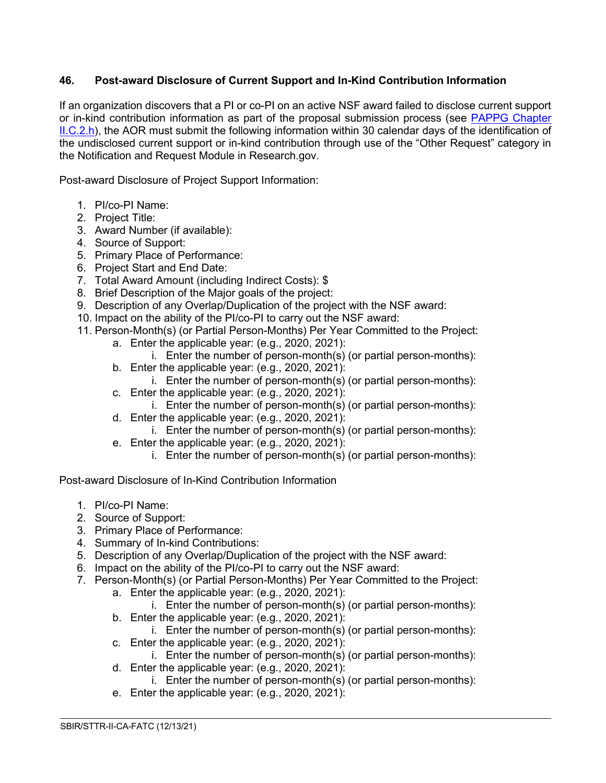# **46. Post-award Disclosure of Current Support and In-Kind Contribution Information**

If an organization discovers that a PI or co-PI on an active NSF award failed to disclose current support or in-kind contribution information as part of the proposal submission process (see PAPPG Chapter [II.C.2.h\)](https://www.nsf.gov/pubs/policydocs/pappg22_1/pappg_2.jsp#IIC2h), the AOR must submit the following information within 30 calendar days of the identification of the undisclosed current support or in-kind contribution through use of the "Other Request" category in the Notification and Request Module in Research.gov.

Post-award Disclosure of Project Support Information:

- 1. PI/co-PI Name:
- 2. Project Title:
- 3. Award Number (if available):
- 4. Source of Support:
- 5. Primary Place of Performance:
- 6. Project Start and End Date:
- 7. Total Award Amount (including Indirect Costs): \$
- 8. Brief Description of the Major goals of the project:
- 9. Description of any Overlap/Duplication of the project with the NSF award:
- 10. Impact on the ability of the PI/co-PI to carry out the NSF award:
- 11. Person-Month(s) (or Partial Person-Months) Per Year Committed to the Project:
	- a. Enter the applicable year: (e.g., 2020, 2021):
		- i. Enter the number of person-month(s) (or partial person-months):
	- b. Enter the applicable year: (e.g., 2020, 2021):
		- i. Enter the number of person-month(s) (or partial person-months):
	- c. Enter the applicable year: (e.g., 2020, 2021): i. Enter the number of person-month(s) (or partial person-months):
	- d. Enter the applicable year: (e.g., 2020, 2021):
		- i. Enter the number of person-month(s) (or partial person-months):
	- e. Enter the applicable year: (e.g., 2020, 2021):
		- i. Enter the number of person-month(s) (or partial person-months):

Post-award Disclosure of In-Kind Contribution Information

- 1. PI/co-PI Name:
- 2. Source of Support:
- 3. Primary Place of Performance:
- 4. Summary of In-kind Contributions:
- 5. Description of any Overlap/Duplication of the project with the NSF award:
- 6. Impact on the ability of the PI/co-PI to carry out the NSF award:
- 7. Person-Month(s) (or Partial Person-Months) Per Year Committed to the Project:
	- a. Enter the applicable year: (e.g., 2020, 2021):
		- i. Enter the number of person-month(s) (or partial person-months):
	- b. Enter the applicable year: (e.g., 2020, 2021):
		- i. Enter the number of person-month(s) (or partial person-months):
	- c. Enter the applicable year: (e.g., 2020, 2021):
		- i. Enter the number of person-month(s) (or partial person-months):

- d. Enter the applicable year: (e.g., 2020, 2021):
	- i. Enter the number of person-month(s) (or partial person-months):
- e. Enter the applicable year: (e.g., 2020, 2021):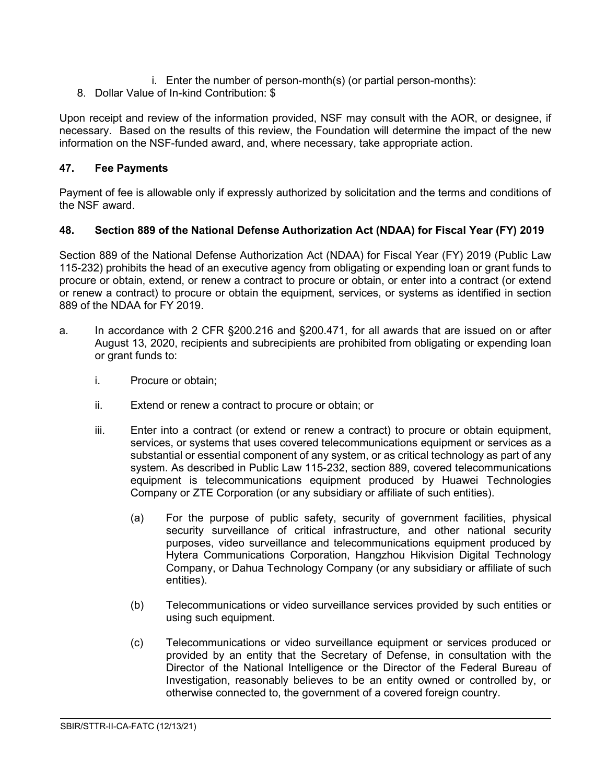- i. Enter the number of person-month(s) (or partial person-months):
- 8. Dollar Value of In-kind Contribution: \$

Upon receipt and review of the information provided, NSF may consult with the AOR, or designee, if necessary. Based on the results of this review, the Foundation will determine the impact of the new information on the NSF-funded award, and, where necessary, take appropriate action.

# <span id="page-33-0"></span>**47. Fee Payments**

Payment of fee is allowable only if expressly authorized by solicitation and the terms and conditions of the NSF award.

### <span id="page-33-1"></span>**48. Section 889 of the National Defense Authorization Act (NDAA) for Fiscal Year (FY) 2019**

Section 889 of the National Defense Authorization Act (NDAA) for Fiscal Year (FY) 2019 (Public Law 115-232) prohibits the head of an executive agency from obligating or expending loan or grant funds to procure or obtain, extend, or renew a contract to procure or obtain, or enter into a contract (or extend or renew a contract) to procure or obtain the equipment, services, or systems as identified in section 889 of the NDAA for FY 2019.

- a. In accordance with 2 CFR §200.216 and §200.471, for all awards that are issued on or after August 13, 2020, recipients and subrecipients are prohibited from obligating or expending loan or grant funds to:
	- i. Procure or obtain;
	- ii. Extend or renew a contract to procure or obtain; or
	- iii. Enter into a contract (or extend or renew a contract) to procure or obtain equipment, services, or systems that uses covered telecommunications equipment or services as a substantial or essential component of any system, or as critical technology as part of any system. As described in Public Law 115-232, section 889, covered telecommunications equipment is telecommunications equipment produced by Huawei Technologies Company or ZTE Corporation (or any subsidiary or affiliate of such entities).
		- (a) For the purpose of public safety, security of government facilities, physical security surveillance of critical infrastructure, and other national security purposes, video surveillance and telecommunications equipment produced by Hytera Communications Corporation, Hangzhou Hikvision Digital Technology Company, or Dahua Technology Company (or any subsidiary or affiliate of such entities).
		- (b) Telecommunications or video surveillance services provided by such entities or using such equipment.
		- (c) Telecommunications or video surveillance equipment or services produced or provided by an entity that the Secretary of Defense, in consultation with the Director of the National Intelligence or the Director of the Federal Bureau of Investigation, reasonably believes to be an entity owned or controlled by, or otherwise connected to, the government of a covered foreign country.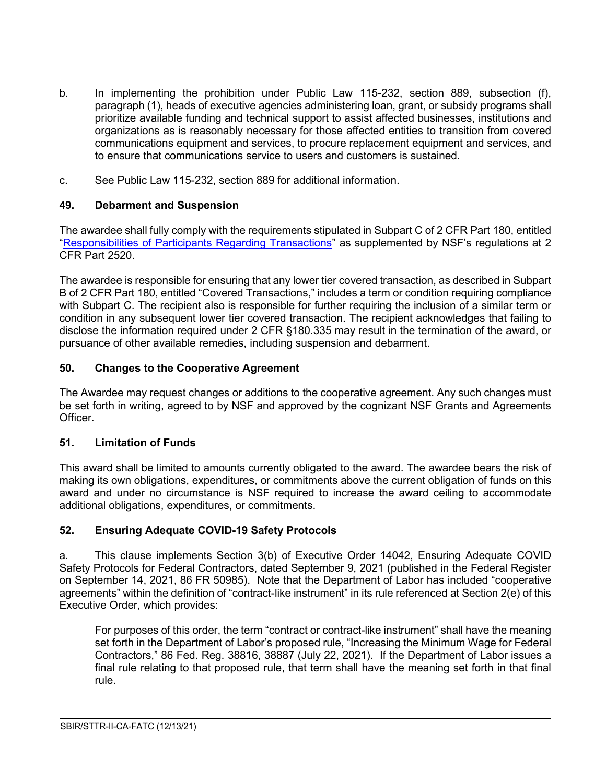- b. In implementing the prohibition under Public Law 115-232, section 889, subsection (f), paragraph (1), heads of executive agencies administering loan, grant, or subsidy programs shall prioritize available funding and technical support to assist affected businesses, institutions and organizations as is reasonably necessary for those affected entities to transition from covered communications equipment and services, to procure replacement equipment and services, and to ensure that communications service to users and customers is sustained.
- c. See Public Law 115-232, section 889 for additional information.

# <span id="page-34-0"></span>**49. Debarment and Suspension**

The awardee shall fully comply with the requirements stipulated in Subpart C of 2 CFR Part 180, entitled ["Responsibilities of Participants Regarding Transactions"](https://www.govinfo.gov/content/pkg/CFR-2011-title2-vol1/pdf/CFR-2011-title2-vol1-part2520.pdf) as supplemented by NSF's regulations at 2 CFR Part 2520.

The awardee is responsible for ensuring that any lower tier covered transaction, as described in Subpart B of 2 CFR Part 180, entitled "Covered Transactions," includes a term or condition requiring compliance with Subpart C. The recipient also is responsible for further requiring the inclusion of a similar term or condition in any subsequent lower tier covered transaction. The recipient acknowledges that failing to disclose the information required under 2 CFR §180.335 may result in the termination of the award, or pursuance of other available remedies, including suspension and debarment.

# <span id="page-34-1"></span>**50. Changes to the Cooperative Agreement**

The Awardee may request changes or additions to the cooperative agreement. Any such changes must be set forth in writing, agreed to by NSF and approved by the cognizant NSF Grants and Agreements Officer.

### <span id="page-34-2"></span>**51. Limitation of Funds**

This award shall be limited to amounts currently obligated to the award. The awardee bears the risk of making its own obligations, expenditures, or commitments above the current obligation of funds on this award and under no circumstance is NSF required to increase the award ceiling to accommodate additional obligations, expenditures, or commitments.

# <span id="page-34-3"></span>**52. Ensuring Adequate COVID-19 Safety Protocols**

a. This clause implements Section 3(b) of Executive Order 14042, Ensuring Adequate COVID Safety Protocols for Federal Contractors, dated September 9, 2021 (published in the Federal Register on September 14, 2021, 86 FR 50985). Note that the Department of Labor has included "cooperative agreements" within the definition of "contract-like instrument" in its rule referenced at Section 2(e) of this Executive Order, which provides:

For purposes of this order, the term "contract or contract-like instrument" shall have the meaning set forth in the Department of Labor's proposed rule, "Increasing the Minimum Wage for Federal Contractors," 86 Fed. Reg. 38816, 38887 (July 22, 2021). If the Department of Labor issues a final rule relating to that proposed rule, that term shall have the meaning set forth in that final rule.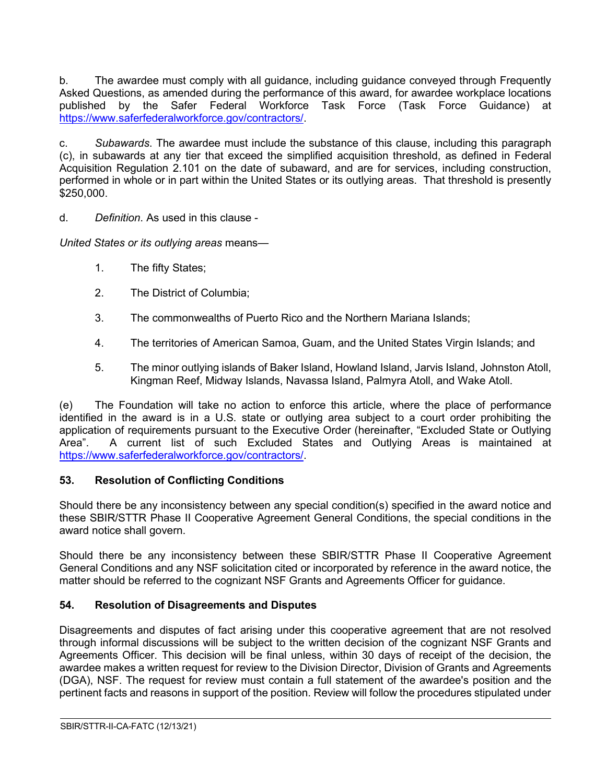b. The awardee must comply with all guidance, including guidance conveyed through Frequently Asked Questions, as amended during the performance of this award, for awardee workplace locations published by the Safer Federal Workforce Task Force (Task Force Guidance) at [https://www.saferfederalworkforce.gov/contractors/.](https://www.saferfederalworkforce.gov/contractors/)

c. *Subawards*. The awardee must include the substance of this clause, including this paragraph (c), in subawards at any tier that exceed the simplified acquisition threshold, as defined in Federal Acquisition Regulation 2.101 on the date of subaward, and are for services, including construction, performed in whole or in part within the United States or its outlying areas. That threshold is presently \$250,000.

d. *Definition*. As used in this clause -

*United States or its outlying areas* means—

- 1. The fifty States;
- 2. The District of Columbia;
- 3. The commonwealths of Puerto Rico and the Northern Mariana Islands;
- 4. The territories of American Samoa, Guam, and the United States Virgin Islands; and
- 5. The minor outlying islands of Baker Island, Howland Island, Jarvis Island, Johnston Atoll, Kingman Reef, Midway Islands, Navassa Island, Palmyra Atoll, and Wake Atoll.

(e) The Foundation will take no action to enforce this article, where the place of performance identified in the award is in a U.S. state or outlying area subject to a court order prohibiting the application of requirements pursuant to the Executive Order (hereinafter, "Excluded State or Outlying Area". A current list of such Excluded States and Outlying Areas is maintained at [https://www.saferfederalworkforce.gov/contractors/.](https://www.saferfederalworkforce.gov/contractors/)

### <span id="page-35-0"></span>**53. Resolution of Conflicting Conditions**

Should there be any inconsistency between any special condition(s) specified in the award notice and these SBIR/STTR Phase II Cooperative Agreement General Conditions, the special conditions in the award notice shall govern.

Should there be any inconsistency between these SBIR/STTR Phase II Cooperative Agreement General Conditions and any NSF solicitation cited or incorporated by reference in the award notice, the matter should be referred to the cognizant NSF Grants and Agreements Officer for guidance.

### <span id="page-35-1"></span>**54. Resolution of Disagreements and Disputes**

Disagreements and disputes of fact arising under this cooperative agreement that are not resolved through informal discussions will be subject to the written decision of the cognizant NSF Grants and Agreements Officer. This decision will be final unless, within 30 days of receipt of the decision, the awardee makes a written request for review to the Division Director, Division of Grants and Agreements (DGA), NSF. The request for review must contain a full statement of the awardee's position and the pertinent facts and reasons in support of the position. Review will follow the procedures stipulated under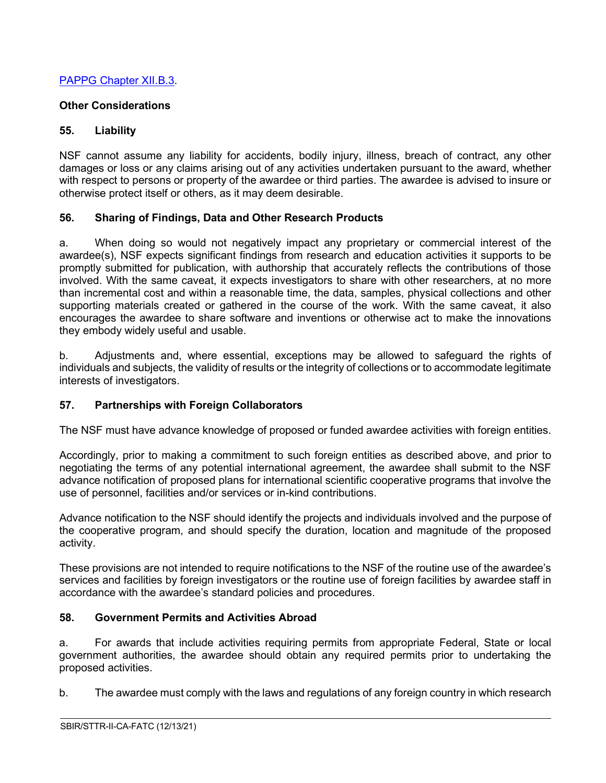# [PAPPG Chapter XII.B.3.](https://www.nsf.gov/pubs/policydocs/pappg22_1/pappg_12.jsp#XIIB)

# **Other Considerations**

# <span id="page-36-0"></span>**55. Liability**

NSF cannot assume any liability for accidents, bodily injury, illness, breach of contract, any other damages or loss or any claims arising out of any activities undertaken pursuant to the award, whether with respect to persons or property of the awardee or third parties. The awardee is advised to insure or otherwise protect itself or others, as it may deem desirable.

# <span id="page-36-1"></span>**56. Sharing of Findings, Data and Other Research Products**

a. When doing so would not negatively impact any proprietary or commercial interest of the awardee(s), NSF expects significant findings from research and education activities it supports to be promptly submitted for publication, with authorship that accurately reflects the contributions of those involved. With the same caveat, it expects investigators to share with other researchers, at no more than incremental cost and within a reasonable time, the data, samples, physical collections and other supporting materials created or gathered in the course of the work. With the same caveat, it also encourages the awardee to share software and inventions or otherwise act to make the innovations they embody widely useful and usable.

b. Adjustments and, where essential, exceptions may be allowed to safeguard the rights of individuals and subjects, the validity of results or the integrity of collections or to accommodate legitimate interests of investigators.

### <span id="page-36-2"></span>**57. Partnerships with Foreign Collaborators**

The NSF must have advance knowledge of proposed or funded awardee activities with foreign entities.

Accordingly, prior to making a commitment to such foreign entities as described above, and prior to negotiating the terms of any potential international agreement, the awardee shall submit to the NSF advance notification of proposed plans for international scientific cooperative programs that involve the use of personnel, facilities and/or services or in-kind contributions.

Advance notification to the NSF should identify the projects and individuals involved and the purpose of the cooperative program, and should specify the duration, location and magnitude of the proposed activity.

These provisions are not intended to require notifications to the NSF of the routine use of the awardee's services and facilities by foreign investigators or the routine use of foreign facilities by awardee staff in accordance with the awardee's standard policies and procedures.

### <span id="page-36-3"></span>**58. Government Permits and Activities Abroad**

a. For awards that include activities requiring permits from appropriate Federal, State or local government authorities, the awardee should obtain any required permits prior to undertaking the proposed activities.

b. The awardee must comply with the laws and regulations of any foreign country in which research